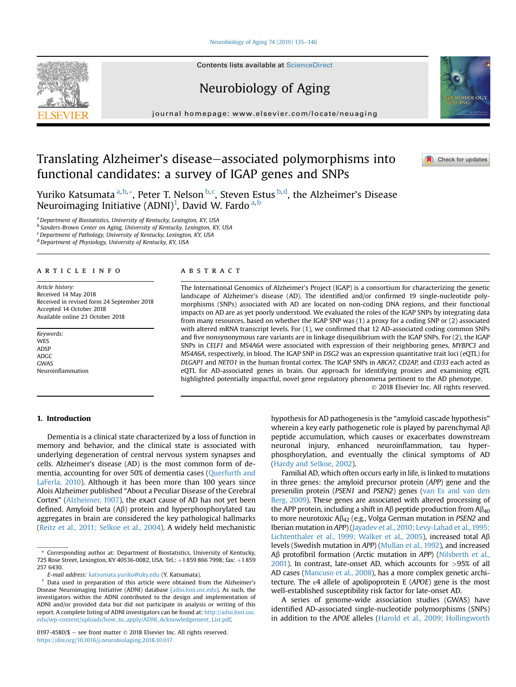#### [Neurobiology of Aging 74 \(2019\) 135](https://doi.org/10.1016/j.neurobiolaging.2018.10.017)-[146](https://doi.org/10.1016/j.neurobiolaging.2018.10.017)

Contents lists available at ScienceDirect

# Neurobiology of Aging

journal homepage: [www.elsevier.com/locate/neuaging](http://www.elsevier.com/locate/neuaging)

# Translating Alzheimer's disease–associated polymorphisms into functional candidates: a survey of IGAP genes and SNPs

Yuriko Katsumata <sup>a, b,</sup>\*, Peter T. Nelson <sup>b, c</sup>, Steven Estus <sup>b, d</sup>, the Alzheimer's Disease Neuroimaging Initiative (ADNI)<sup>1</sup>, David W. Fardo <sup>a, b</sup>

a Department of Biostatistics, University of Kentucky, Lexington, KY, USA <sup>b</sup> Sanders-Brown Center on Aging, University of Kentucky, Lexington, KY, USA

<sup>c</sup> Department of Pathology, University of Kentucky, Lexington, KY, USA

<sup>d</sup> Department of Physiology, University of Kentucky, KY, USA

## article info

Article history: Received 14 May 2018 Received in revised form 24 September 2018 Accepted 14 October 2018 Available online 23 October 2018

Keywords: WES ADSP ADGC GWAS Neuroinflammation

# **ABSTRACT**

The International Genomics of Alzheimer's Project (IGAP) is a consortium for characterizing the genetic landscape of Alzheimer's disease (AD). The identified and/or confirmed 19 single-nucleotide polymorphisms (SNPs) associated with AD are located on non-coding DNA regions, and their functional impacts on AD are as yet poorly understood. We evaluated the roles of the IGAP SNPs by integrating data from many resources, based on whether the IGAP SNP was (1) a proxy for a coding SNP or (2) associated with altered mRNA transcript levels. For (1), we confirmed that 12 AD-associated coding common SNPs and five nonsynonymous rare variants are in linkage disequilibrium with the IGAP SNPs. For (2), the IGAP SNPs in CELF1 and MS4A6A were associated with expression of their neighboring genes, MYBPC3 and MS4A6A, respectively, in blood. The IGAP SNP in DSG2 was an expression quantitative trait loci (eQTL) for DLGAP1 and NETO1 in the human frontal cortex. The IGAP SNPs in ABCA7, CD2AP, and CD33 each acted as eQTL for AD-associated genes in brain. Our approach for identifying proxies and examining eQTL highlighted potentially impactful, novel gene regulatory phenomena pertinent to the AD phenotype. 2018 Elsevier Inc. All rights reserved.

## 1. Introduction

Dementia is a clinical state characterized by a loss of function in memory and behavior, and the clinical state is associated with underlying degeneration of central nervous system synapses and cells. Alzheimer's disease (AD) is the most common form of dementia, accounting for over 50% of dementia cases [\(Querfurth and](#page-11-0) [LaFerla, 2010](#page-11-0)). Although it has been more than 100 years since Alois Alzheimer published "About a Peculiar Disease of the Cerebral Cortex" [\(Alzheimer, 1907](#page-9-0)), the exact cause of AD has not yet been defined. Amyloid beta  $(A\beta)$  protein and hyperphosphorylated tau aggregates in brain are considered the key pathological hallmarks ([Reitz et al., 2011; Selkoe et al., 2004\)](#page-11-0). A widely held mechanistic

hypothesis for AD pathogenesis is the "amyloid cascade hypothesis" wherein a key early pathogenetic role is played by parenchymal  $AB$ peptide accumulation, which causes or exacerbates downstream neuronal injury, enhanced neuroinflammation, tau hyperphosphorylation, and eventually the clinical symptoms of AD [\(Hardy and Selkoe, 2002](#page-10-0)).

Familial AD, which often occurs early in life, is linked to mutations in three genes: the amyloid precursor protein (APP) gene and the presenilin protein (PSEN1 and PSEN2) genes ([van Es and van den](#page-11-0) [Berg, 2009\)](#page-11-0). These genes are associated with altered processing of the APP protein, including a shift in A $\beta$  peptide production from A $\beta_{40}$ to more neurotoxic  $A\beta_{42}$  (e.g., Volga German mutation in PSEN2 and Iberian mutation in APP) ([Jayadev et al., 2010; Levy-Lahad et al., 1995;](#page-10-0) [Lichtenthaler et al., 1999; Walker et al., 2005](#page-10-0)), increased total  $A\beta$ levels (Swedish mutation in APP) [\(Mullan et al., 1992\)](#page-11-0), and increased Aβ protofibril formation (Arctic mutation in APP) [\(Nilsberth et al.,](#page-11-0) [2001\)](#page-11-0). In contrast, late-onset AD, which accounts for >95% of all AD cases ([Mancuso et al., 2008\)](#page-11-0), has a more complex genetic architecture. The ε4 allele of apolipoprotein E (APOE) gene is the most well-established susceptibility risk factor for late-onset AD.

A series of genome-wide association studies (GWAS) have identified AD-associated single-nucleotide polymorphisms (SNPs) in addition to the APOE alleles ([Harold et al., 2009; Hollingworth](#page-10-0)





**A** Check for updates

Corresponding author at: Department of Biostatistics, University of Kentucky, 725 Rose Street, Lexington, KY 40536-0082, USA. Tel.: +1 859 866 7998; fax: +1 859 257 6430.

E-mail address: [katsumata.yuriko@uky.edu](mailto:katsumata.yuriko@uky.edu) (Y. Katsumata).

<sup>1</sup> Data used in preparation of this article were obtained from the Alzheimer's Disease Neuroimaging Initiative (ADNI) database ([adni.loni.usc.edu](http://adni.loni.usc.edu)). As such, the investigators within the ADNI contributed to the design and implementation of ADNI and/or provided data but did not participate in analysis or writing of this report. A complete listing of ADNI investigators can be found at: [http://adni.loni.usc.](http://adni.loni.usc.edu/wp-content/uploads/how_to_apply/ADNI_Acknowledgement_List.pdf) [edu/wp-content/uploads/how\\_to\\_apply/ADNI\\_Acknowledgement\\_List.pdf.](http://adni.loni.usc.edu/wp-content/uploads/how_to_apply/ADNI_Acknowledgement_List.pdf)

<sup>0197-4580/\$ -</sup> see front matter  $\odot$  2018 Elsevier Inc. All rights reserved. <https://doi.org/10.1016/j.neurobiolaging.2018.10.017>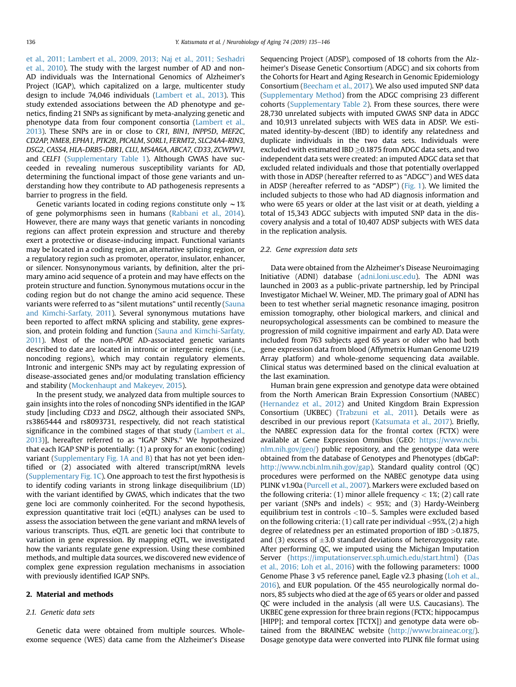[et al., 2011; Lambert et al., 2009, 2013; Naj et al., 2011; Seshadri](#page-10-0) [et al., 2010\)](#page-10-0). The study with the largest number of AD and non-AD individuals was the International Genomics of Alzheimer's Project (IGAP), which capitalized on a large, multicenter study design to include 74,046 individuals ([Lambert et al., 2013\)](#page-10-0). This study extended associations between the AD phenotype and genetics, finding 21 SNPs as significant by meta-analyzing genetic and phenotype data from four component consortia [\(Lambert et al.,](#page-10-0) [2013](#page-10-0)). These SNPs are in or close to CR1, BIN1, INPP5D, MEF2C, CD2AP, NME8, EPHA1, PTK2B, PICALM, SORL1, FERMT2, SLC24A4-RIN3, DSG2, CASS4, HLA-DRB5-DBR1, CLU, MS4A6A, ABCA7, CD33, ZCWPW1, and CELF1 (Supplementary Table 1). Although GWAS have succeeded in revealing numerous susceptibility variants for AD, determining the functional impact of those gene variants and understanding how they contribute to AD pathogenesis represents a barrier to progress in the field.

Genetic variants located in coding regions constitute only  $\sim$  1% of gene polymorphisms seen in humans ([Rabbani et al., 2014\)](#page-11-0). However, there are many ways that genetic variants in noncoding regions can affect protein expression and structure and thereby exert a protective or disease-inducing impact. Functional variants may be located in a coding region, an alternative splicing region, or a regulatory region such as promoter, operator, insulator, enhancer, or silencer. Nonsynonymous variants, by definition, alter the primary amino acid sequence of a protein and may have effects on the protein structure and function. Synonymous mutations occur in the coding region but do not change the amino acid sequence. These variants were referred to as "silent mutations" until recently [\(Sauna](#page-11-0) [and Kimchi-Sarfaty, 2011\)](#page-11-0). Several synonymous mutations have been reported to affect mRNA splicing and stability, gene expression, and protein folding and function ([Sauna and Kimchi-Sarfaty,](#page-11-0) [2011\)](#page-11-0). Most of the non-APOE AD-associated genetic variants described to date are located in intronic or intergenic regions (i.e., noncoding regions), which may contain regulatory elements. Intronic and intergenic SNPs may act by regulating expression of disease-associated genes and/or modulating translation efficiency and stability ([Mockenhaupt and Makeyev, 2015\)](#page-11-0).

In the present study, we analyzed data from multiple sources to gain insights into the roles of noncoding SNPs identified in the IGAP study [including CD33 and DSG2, although their associated SNPs, rs3865444 and rs8093731, respectively, did not reach statistical significance in the combined stages of that study ([Lambert et al.,](#page-10-0) [2013](#page-10-0))], hereafter referred to as "IGAP SNPs." We hypothesized that each IGAP SNP is potentially: (1) a proxy for an exonic (coding) variant (Supplementary Fig. 1A and B) that has not yet been identified or (2) associated with altered transcript/mRNA levels (Supplementary Fig. 1C). One approach to test the first hypothesis is to identify coding variants in strong linkage disequilibrium (LD) with the variant identified by GWAS, which indicates that the two gene loci are commonly coinherited. For the second hypothesis, expression quantitative trait loci (eQTL) analyses can be used to assess the association between the gene variant and mRNA levels of various transcripts. Thus, eQTL are genetic loci that contribute to variation in gene expression. By mapping eQTL, we investigated how the variants regulate gene expression. Using these combined methods, and multiple data sources, we discovered new evidence of complex gene expression regulation mechanisms in association with previously identified IGAP SNPs.

#### 2. Material and methods

#### 2.1. Genetic data sets

Genetic data were obtained from multiple sources. Wholeexome sequence (WES) data came from the Alzheimer's Disease

Sequencing Project (ADSP), composed of 18 cohorts from the Alzheimer's Disease Genetic Consortium (ADGC) and six cohorts from the Cohorts for Heart and Aging Research in Genomic Epidemiology Consortium [\(Beecham et al., 2017](#page-9-0)). We also used imputed SNP data (Supplementary Method) from the ADGC comprising 23 different cohorts (Supplementary Table 2). From these sources, there were 28,730 unrelated subjects with imputed GWAS SNP data in ADGC and 10,913 unrelated subjects with WES data in ADSP. We estimated identity-by-descent (IBD) to identify any relatedness and duplicate individuals in the two data sets. Individuals were excluded with estimated IBD  $\geq$ 0.1875 from ADGC data sets, and two independent data sets were created: an imputed ADGC data set that excluded related individuals and those that potentially overlapped with those in ADSP (hereafter referred to as "ADGC") and WES data in ADSP (hereafter referred to as "ADSP") [\(Fig. 1\)](#page-2-0). We limited the included subjects to those who had AD diagnosis information and who were 65 years or older at the last visit or at death, yielding a total of 15,343 ADGC subjects with imputed SNP data in the discovery analysis and a total of 10,407 ADSP subjects with WES data in the replication analysis.

### 2.2. Gene expression data sets

Data were obtained from the Alzheimer's Disease Neuroimaging Initiative (ADNI) database [\(adni.loni.usc.edu](http://adni.loni.usc.edu)). The ADNI was launched in 2003 as a public-private partnership, led by Principal Investigator Michael W. Weiner, MD. The primary goal of ADNI has been to test whether serial magnetic resonance imaging, positron emission tomography, other biological markers, and clinical and neuropsychological assessments can be combined to measure the progression of mild cognitive impairment and early AD. Data were included from 763 subjects aged 65 years or older who had both gene expression data from blood (Affymetrix Human Genome U219 Array platform) and whole-genome sequencing data available. Clinical status was determined based on the clinical evaluation at the last examination.

Human brain gene expression and genotype data were obtained from the North American Brain Expression Consortium (NABEC) ([Hernandez et al., 2012\)](#page-10-0) and United Kingdom Brain Expression Consortium (UKBEC) [\(Trabzuni et al., 2011](#page-11-0)). Details were as described in our previous report ([Katsumata et al., 2017](#page-10-0)). Briefly, the NABEC expression data for the frontal cortex (FCTX) were available at Gene Expression Omnibus (GEO: [https://www.ncbi.](https://www.ncbi.nlm.nih.gov/geo/) [nlm.nih.gov/geo/\)](https://www.ncbi.nlm.nih.gov/geo/) public repository, and the genotype data were obtained from the database of Genotypes and Phenotypes (dbGaP: <http://www.ncbi.nlm.nih.gov/gap>). Standard quality control (QC) procedures were performed on the NABEC genotype data using PLINK v1.90a [\(Purcell et al., 2007\)](#page-11-0). Markers were excluded based on the following criteria: (1) minor allele frequency  $<$  1%; (2) call rate per variant (SNPs and indels)  $<$  95%; and (3) Hardy-Weinberg equilibrium test in controls  $<$ 10 $-$ 5. Samples were excluded based on the following criteria:  $(1)$  call rate per individual  $\langle 95\%, (2)$  a high degree of relatedness per an estimated proportion of IBD >0.1875, and (3) excess of  $\pm 3.0$  standard deviations of heterozygosity rate. After performing QC, we imputed using the Michigan Imputation Server [\(https://imputationserver.sph.umich.edu/start.html](https://imputationserver.sph.umich.edu/start.html)) ([Das](#page-9-0) [et al., 2016; Loh et al., 2016\)](#page-9-0) with the following parameters: 1000 Genome Phase 3 v5 reference panel, Eagle v2.3 phasing [\(Loh et al.,](#page-11-0) [2016\)](#page-11-0), and EUR population. Of the 455 neurologically normal donors, 85 subjects who died at the age of 65 years or older and passed QC were included in the analysis (all were U.S. Caucasians). The UKBEC gene expression for three brain regions (FCTX; hippocampus [HIPP]; and temporal cortex [TCTX]) and genotype data were obtained from the BRAINEAC website ([http://www.braineac.org/\)](http://www.braineac.org/). Dosage genotype data were converted into PLINK file format using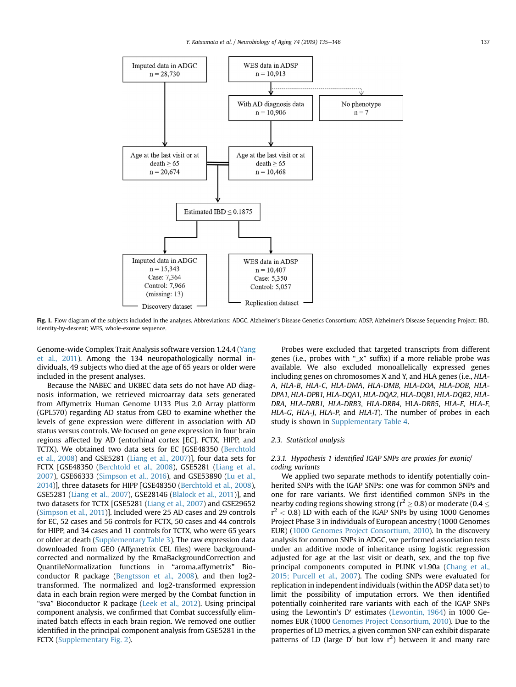<span id="page-2-0"></span>

Fig. 1. Flow diagram of the subjects included in the analyses. Abbreviations: ADGC, Alzheimer's Disease Genetics Consortium; ADSP, Alzheimer's Disease Sequencing Project; IBD, identity-by-descent; WES, whole-exome sequence.

Genome-wide Complex Trait Analysis software version 1.24.4 [\(Yang](#page-11-0) [et al., 2011](#page-11-0)). Among the 134 neuropathologically normal individuals, 49 subjects who died at the age of 65 years or older were included in the present analyses.

Because the NABEC and UKBEC data sets do not have AD diagnosis information, we retrieved microarray data sets generated from Affymetrix Human Genome U133 Plus 2.0 Array platform (GPL570) regarding AD status from GEO to examine whether the levels of gene expression were different in association with AD status versus controls. We focused on gene expression in four brain regions affected by AD (entorhinal cortex [EC], FCTX, HIPP, and TCTX). We obtained two data sets for EC [GSE48350 ([Berchtold](#page-9-0) [et al., 2008](#page-9-0)) and GSE5281 ([Liang et al., 2007](#page-10-0))], four data sets for FCTX [GSE48350 ([Berchtold et al., 2008\)](#page-9-0), GSE5281 [\(Liang et al.,](#page-10-0) [2007\)](#page-10-0), GSE66333 [\(Simpson et al., 2016\)](#page-11-0), and GSE53890 [\(Lu et al.,](#page-11-0) [2014\)](#page-11-0)], three datasets for HIPP [GSE48350 [\(Berchtold et al., 2008](#page-9-0)), GSE5281 ([Liang et al., 2007](#page-10-0)), GSE28146 ([Blalock et al., 2011](#page-9-0))], and two datasets for TCTX [GSE5281 ([Liang et al., 2007\)](#page-10-0) and GSE29652 ([Simpson et al., 2011\)](#page-11-0)]. Included were 25 AD cases and 29 controls for EC, 52 cases and 56 controls for FCTX, 50 cases and 44 controls for HIPP, and 34 cases and 11 controls for TCTX, who were 65 years or older at death (Supplementary Table 3). The raw expression data downloaded from GEO (Affymetrix CEL files) were backgroundcorrected and normalized by the RmaBackgroundCorrection and QuantileNormalization functions in "aroma.affymetrix" Bioconductor R package ([Bengtsson et al., 2008\)](#page-9-0), and then log2 transformed. The normalized and log2-transformed expression data in each brain region were merged by the Combat function in "sva" Bioconductor R package [\(Leek et al., 2012\)](#page-10-0). Using principal component analysis, we confirmed that Combat successfully eliminated batch effects in each brain region. We removed one outlier identified in the principal component analysis from GSE5281 in the FCTX (Supplementary Fig. 2).

Probes were excluded that targeted transcripts from different genes (i.e., probes with "\_x" suffix) if a more reliable probe was available. We also excluded monoallelically expressed genes including genes on chromosomes X and Y, and HLA genes (i.e., HLA-A, HLA-B, HLA-C, HLA-DMA, HLA-DMB, HLA-DOA, HLA-DOB, HLA-DPA1, HLA-DPB1, HLA-DQA1, HLA-DQA2, HLA-DQB1, HLA-DQB2, HLA-DRA, HLA-DRB1, HLA-DRB3, HLA-DRB4, HLA-DRB5, HLA-E, HLA-F, HLA-G, HLA-J, HLA-P, and HLA-T). The number of probes in each study is shown in Supplementary Table 4.

#### 2.3. Statistical analysis

# 2.3.1. Hypothesis 1 identified IGAP SNPs are proxies for exonic/ coding variants

We applied two separate methods to identify potentially coinherited SNPs with the IGAP SNPs: one was for common SNPs and one for rare variants. We first identified common SNPs in the nearby coding regions showing strong ( $r^2 \ge 0.8$ ) or moderate ( $0.4 \le$  $\rm r^2 < 0.8$ ) LD with each of the IGAP SNPs by using 1000 Genomes Project Phase 3 in individuals of European ancestry (1000 Genomes EUR) ([1000 Genomes Project Consortium, 2010\)](#page-10-0). In the discovery analysis for common SNPs in ADGC, we performed association tests under an additive mode of inheritance using logistic regression adjusted for age at the last visit or death, sex, and the top five principal components computed in PLINK v1.90a ([Chang et al.,](#page-9-0) [2015; Purcell et al., 2007\)](#page-9-0). The coding SNPs were evaluated for replication in independent individuals (within the ADSP data set) to limit the possibility of imputation errors. We then identified potentially coinherited rare variants with each of the IGAP SNPs using the Lewontin's D' estimates (Lewontin,  $1964$ ) in 1000 Genomes EUR (1000 [Genomes Project Consortium, 2010](#page-10-0)). Due to the properties of LD metrics, a given common SNP can exhibit disparate patterns of LD (large D' but low  $r^2$ ) between it and many rare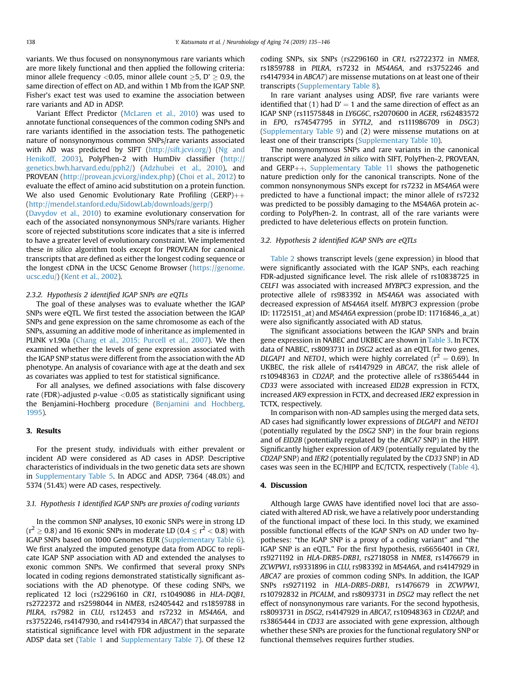variants. We thus focused on nonsynonymous rare variants which are more likely functional and then applied the following criteria: minor allele frequency <0.05, minor allele count  $\geq$ 5, D'  $\geq$  0.9, the same direction of effect on AD, and within 1 Mb from the IGAP SNP. Fisher's exact test was used to examine the association between rare variants and AD in ADSP.

Variant Effect Predictor [\(McLaren et al., 2010\)](#page-11-0) was used to annotate functional consequences of the common coding SNPs and rare variants identified in the association tests. The pathogenetic nature of nonsynonymous common SNPs/rare variants associated with AD was predicted by SIFT [\(http://sift.jcvi.org/\)](http://sift.jcvi.org/) ([Ng and](#page-11-0) [Henikoff, 2003](#page-11-0)), PolyPhen-2 with HumDiv classifier [\(http://](http://genetics.bwh.harvard.edu/pph2/) [genetics.bwh.harvard.edu/pph2/](http://genetics.bwh.harvard.edu/pph2/)) ([Adzhubei et al., 2010](#page-9-0)), and PROVEAN (<http://provean.jcvi.org/index.php>) ([Choi et al., 2012](#page-9-0)) to evaluate the effect of amino acid substitution on a protein function. We also used Genomic Evolutionary Rate Profiling (GERP) $++$ [\(http://mendel.stanford.edu/SidowLab/downloads/gerp/\)](http://mendel.stanford.edu/SidowLab/downloads/gerp/)

[\(Davydov et al., 2010](#page-9-0)) to examine evolutionary conservation for each of the associated nonsynonymous SNPs/rare variants. Higher score of rejected substitutions score indicates that a site is inferred to have a greater level of evolutionary constraint. We implemented these in silico algorithm tools except for PROVEAN for canonical transcripts that are defined as either the longest coding sequence or the longest cDNA in the UCSC Genome Browser ([https://genome.](https://genome.ucsc.edu/) [ucsc.edu/](https://genome.ucsc.edu/)) ([Kent et al., 2002\)](#page-10-0).

#### 2.3.2. Hypothesis 2 identified IGAP SNPs are eQTLs

The goal of these analyses was to evaluate whether the IGAP SNPs were eQTL. We first tested the association between the IGAP SNPs and gene expression on the same chromosome as each of the SNPs, assuming an additive mode of inheritance as implemented in PLINK v1.90a ([Chang et al., 2015; Purcell et al., 2007](#page-9-0)). We then examined whether the levels of gene expression associated with the IGAP SNP status were different from the association with the AD phenotype. An analysis of covariance with age at the death and sex as covariates was applied to test for statistical significance.

For all analyses, we defined associations with false discovery rate (FDR)-adjusted  $p$ -value <0.05 as statistically significant using the Benjamini-Hochberg procedure [\(Benjamini and Hochberg,](#page-9-0) [1995\)](#page-9-0).

#### 3. Results

For the present study, individuals with either prevalent or incident AD were considered as AD cases in ADSP. Descriptive characteristics of individuals in the two genetic data sets are shown in Supplementary Table 5. In ADGC and ADSP, 7364 (48.0%) and 5374 (51.4%) were AD cases, respectively.

#### 3.1. Hypothesis 1 identified IGAP SNPs are proxies of coding variants

In the common SNP analyses, 10 exonic SNPs were in strong LD  $(r^2 \ge 0.8)$  and 16 exonic SNPs in moderate LD (0.4  $\le r^2 < 0.8$ ) with IGAP SNPs based on 1000 Genomes EUR (Supplementary Table 6). We first analyzed the imputed genotype data from ADGC to replicate IGAP SNP association with AD and extended the analyses to exonic common SNPs. We confirmed that several proxy SNPs located in coding regions demonstrated statistically significant associations with the AD phenotype. Of these coding SNPs, we replicated 12 loci (rs2296160 in CR1, rs1049086 in HLA-DQB1, rs2722372 and rs2598044 in NME8, rs2405442 and rs1859788 in PILRA, rs7982 in CLU, rs12453 and rs7232 in MS4A6A, and rs3752246, rs4147930, and rs4147934 in ABCA7) that surpassed the statistical significance level with FDR adjustment in the separate ADSP data set ([Table 1](#page-4-0) and Supplementary Table 7). Of these 12 coding SNPs, six SNPs (rs2296160 in CR1, rs2722372 in NME8, rs1859788 in PILRA, rs7232 in MS4A6A, and rs3752246 and rs4147934 in ABCA7) are missense mutations on at least one of their transcripts (Supplementary Table 8).

In rare variant analyses using ADSP, five rare variants were identified that (1) had  $D' = 1$  and the same direction of effect as an IGAP SNP (rs11575848 in LY6G6C, rs2070600 in AGER, rs62483572 in EPO, rs74547795 in SYTL2, and rs111986709 in DSG3) (Supplementary Table 9) and (2) were missense mutations on at least one of their transcripts (Supplementary Table 10).

The nonsynonymous SNPs and rare variants in the canonical transcript were analyzed in silico with SIFT, PolyPhen-2, PROVEAN, and GERP $++$ . Supplementary Table 11 shows the pathogenetic nature prediction only for the canonical transcripts. None of the common nonsynonymous SNPs except for rs7232 in MS4A6A were predicted to have a functional impact; the minor allele of rs7232 was predicted to be possibly damaging to the MS4A6A protein according to PolyPhen-2. In contrast, all of the rare variants were predicted to have deleterious effects on protein function.

#### 3.2. Hypothesis 2 identified IGAP SNPs are eQTLs

[Table 2](#page-4-0) shows transcript levels (gene expression) in blood that were significantly associated with the IGAP SNPs, each reaching FDR-adjusted significance level. The risk allele of rs10838725 in CELF1 was associated with increased MYBPC3 expression, and the protective allele of rs983392 in MS4A6A was associated with decreased expression of MS4A6A itself. MYBPC3 expression (probe ID: 11725151\_at) and MS4A6A expression (probe ID: 11716846\_a\_at) were also significantly associated with AD status.

The significant associations between the IGAP SNPs and brain gene expression in NABEC and UKBEC are shown in [Table 3](#page-5-0). In FCTX data of NABEC, rs8093731 in DSG2 acted as an eQTL for two genes, DLGAP1 and NETO1, which were highly correlated ( $r^2 = 0.69$ ). In UKBEC, the risk allele of rs4147929 in ABCA7, the risk allele of rs10948363 in CD2AP, and the protective allele of rs3865444 in CD33 were associated with increased EID2B expression in FCTX, increased AK9 expression in FCTX, and decreased IER2 expression in TCTX, respectively.

In comparison with non-AD samples using the merged data sets, AD cases had significantly lower expressions of DLGAP1 and NETO1 (potentially regulated by the DSG2 SNP) in the four brain regions and of EID2B (potentially regulated by the ABCA7 SNP) in the HIPP. Significantly higher expression of AK9 (potentially regulated by the CD2AP SNP) and IER2 (potentially regulated by the CD33 SNP) in AD cases was seen in the EC/HIPP and EC/TCTX, respectively ([Table 4\)](#page-5-0).

### 4. Discussion

Although large GWAS have identified novel loci that are associated with altered AD risk, we have a relatively poor understanding of the functional impact of these loci. In this study, we examined possible functional effects of the IGAP SNPs on AD under two hypotheses: "the IGAP SNP is a proxy of a coding variant" and "the IGAP SNP is an eQTL." For the first hypothesis, rs6656401 in CR1, rs9271192 in HLA-DRB5-DRB1, rs2718058 in NME8, rs1476679 in ZCWPW1, rs9331896 in CLU, rs983392 in MS4A6A, and rs4147929 in ABCA7 are proxies of common coding SNPs. In addition, the IGAP SNPs rs9271192 in HLA-DRB5-DRB1, rs1476679 in ZCWPW1, rs10792832 in PICALM, and rs8093731 in DSG2 may reflect the net effect of nonsynonymous rare variants. For the second hypothesis, rs8093731 in DSG2, rs4147929 in ABCA7, rs10948363 in CD2AP, and rs3865444 in CD33 are associated with gene expression, although whether these SNPs are proxies for the functional regulatory SNP or functional themselves requires further studies.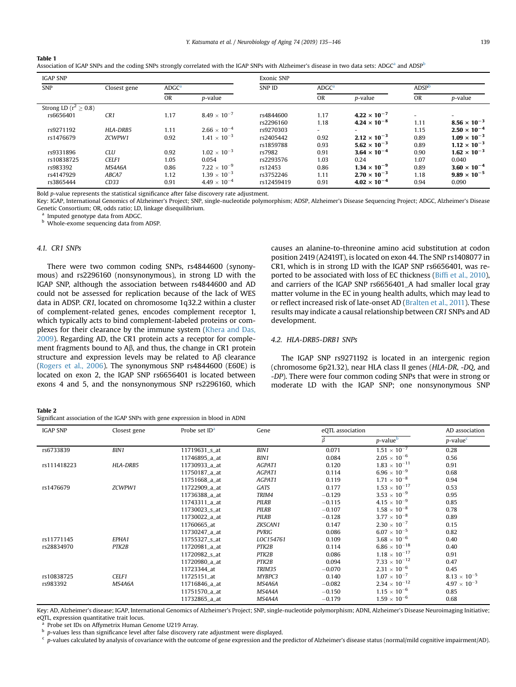<span id="page-4-0"></span>

| Table 1                                                                                                                                                                |
|------------------------------------------------------------------------------------------------------------------------------------------------------------------------|
| Association of IGAP SNPs and the coding SNPs strongly correlated with the IGAP SNPs with Alzheimer's disease in two data sets: ADGC <sup>a</sup> and ADSP <sup>b</sup> |

| <b>IGAP SNP</b>              |              |                   | Exonic SNP            |               |                   |                       |             |                       |
|------------------------------|--------------|-------------------|-----------------------|---------------|-------------------|-----------------------|-------------|-----------------------|
| <b>SNP</b>                   | Closest gene | ADGC <sup>a</sup> |                       | <b>SNP ID</b> | ADGC <sup>a</sup> |                       | <b>ADSP</b> |                       |
|                              |              | <b>OR</b>         | p-value               |               | <b>OR</b>         | p-value               | OR          | p-value               |
| Strong LD ( $r^2 \geq 0.8$ ) |              |                   |                       |               |                   |                       |             |                       |
| rs6656401                    | CR1          | 1.17              | $8.49 \times 10^{-7}$ | rs4844600     | 1.17              | $4.22 \times 10^{-7}$ | ۰           |                       |
|                              |              |                   |                       | rs2296160     | 1.18              | $4.24 \times 10^{-8}$ | 1.11        | $8.56 \times 10^{-3}$ |
| rs9271192                    | HLA-DRB5     | 1.11              | $2.66 \times 10^{-4}$ | rs9270303     | Ξ.                |                       | 1.15        | $2.50 \times 10^{-4}$ |
| rs1476679                    | ZCWPW1       | 0.92              | $1.41 \times 10^{-3}$ | rs2405442     | 0.92              | $2.12 \times 10^{-3}$ | 0.89        | $1.09 \times 10^{-3}$ |
|                              |              |                   |                       | rs1859788     | 0.93              | $5.62 \times 10^{-3}$ | 0.89        | $1.12 \times 10^{-3}$ |
| rs9331896                    | <b>CLU</b>   | 0.92              | $1.02 \times 10^{-3}$ | rs7982        | 0.91              | $3.64 \times 10^{-4}$ | 0.90        | $1.62 \times 10^{-3}$ |
| rs10838725                   | CELF1        | 1.05              | 0.054                 | rs2293576     | 1.03              | 0.24                  | 1.07        | 0.040                 |
| rs983392                     | MS4A6A       | 0.86              | $7.22 \times 10^{-9}$ | rs12453       | 0.86              | $1.34 \times 10^{-9}$ | 0.89        | $3.60 \times 10^{-4}$ |
| rs4147929                    | ABCA7        | 1.12              | $1.39 \times 10^{-3}$ | rs3752246     | 1.11              | $2.70 \times 10^{-3}$ | 1.18        | $9.89 \times 10^{-5}$ |
| rs3865444                    | CD33         | 0.91              | $4.49 \times 10^{-4}$ | rs12459419    | 0.91              | $4.02 \times 10^{-4}$ | 0.94        | 0.090                 |

Bold p-value represents the statistical significance after false discovery rate adjustment.

Key: IGAP, International Genomics of Alzheimer's Project; SNP, single-nucleotide polymorphism; ADSP, Alzheimer's Disease Sequencing Project; ADGC, Alzheimer's Disease Genetic Consortium; OR, odds ratio; LD, linkage disequilibrium.

Imputed genotype data from ADGC.

**b** Whole-exome sequencing data from ADSP.

# 4.1. CR1 SNPs

There were two common coding SNPs, rs4844600 (synonymous) and rs2296160 (nonsynonymous), in strong LD with the IGAP SNP, although the association between rs4844600 and AD could not be assessed for replication because of the lack of WES data in ADSP. CR1, located on chromosome 1q32.2 within a cluster of complement-related genes, encodes complement receptor 1, which typically acts to bind complement-labeled proteins or complexes for their clearance by the immune system ([Khera and Das,](#page-10-0) [2009\)](#page-10-0). Regarding AD, the CR1 protein acts a receptor for complement fragments bound to  $A\beta$ , and thus, the change in CR1 protein structure and expression levels may be related to  $\overrightarrow{AB}$  clearance ([Rogers et al., 2006\)](#page-11-0). The synonymous SNP rs4844600 (E60E) is located on exon 2, the IGAP SNP rs6656401 is located between exons 4 and 5, and the nonsynonymous SNP rs2296160, which causes an alanine-to-threonine amino acid substitution at codon position 2419 (A2419T), is located on exon 44. The SNP rs1408077 in CR1, which is in strong LD with the IGAP SNP rs6656401, was reported to be associated with loss of EC thickness (Biffi [et al., 2010\)](#page-9-0), and carriers of the IGAP SNP rs6656401\_A had smaller local gray matter volume in the EC in young health adults, which may lead to or reflect increased risk of late-onset AD ([Bralten et al., 2011](#page-9-0)). These results may indicate a causal relationship between CR1 SNPs and AD development.

# 4.2. HLA-DRB5-DRB1 SNPs

The IGAP SNP rs9271192 is located in an intergenic region (chromosome 6p21.32), near HLA class II genes (HLA-DR, -DQ, and -DP). There were four common coding SNPs that were in strong or moderate LD with the IGAP SNP; one nonsynonymous SNP

#### Table 2

Significant association of the IGAP SNPs with gene expression in blood in ADNI

| <b>IGAP SNP</b><br>Closest gene |          | Probe set ID <sup>a</sup> | Gene         | eQTL association | AD association         |                         |
|---------------------------------|----------|---------------------------|--------------|------------------|------------------------|-------------------------|
|                                 |          |                           |              |                  | $p$ -value $p$         | $p$ -value <sup>c</sup> |
| rs6733839                       | BIN1     | 11719631_s_at             | BIN1         | 0.071            | $1.51 \times 10^{-7}$  | 0.28                    |
|                                 |          | 11746895_a_at             | BIN1         | 0.084            | $2.05 \times 10^{-6}$  | 0.56                    |
| rs111418223                     | HLA-DRB5 | 11730933_a_at             | AGPAT1       | 0.120            | $1.83 \times 10^{-11}$ | 0.91                    |
|                                 |          | 11750187_a_at             | AGPAT1       | 0.114            | $6.96 \times 10^{-9}$  | 0.68                    |
|                                 |          | 11751668_a_at             | AGPAT1       | 0.119            | $1.71 \times 10^{-8}$  | 0.94                    |
| rs1476679                       | ZCWPW1   | 11722909_a_at             | GATS         | 0.177            | $1.53 \times 10^{-17}$ | 0.53                    |
|                                 |          | 11736388_a_at             | TRIM4        | $-0.129$         | $3.53 \times 10^{-9}$  | 0.95                    |
|                                 |          | 11743311_a_at             | <b>PILRB</b> | $-0.115$         | $4.15 \times 10^{-9}$  | 0.85                    |
|                                 |          | 11730023_s_at             | <b>PILRB</b> | $-0.107$         | $1.58\times10^{-8}$    | 0.78                    |
|                                 |          | 11730022_a_at             | <b>PILRB</b> | $-0.128$         | $3.77 \times 10^{-8}$  | 0.89                    |
|                                 |          | 11760665_at               | ZKSCAN1      | 0.147            | $2.30 \times 10^{-7}$  | 0.15                    |
|                                 |          | 11730247_a_at             | <b>PVRIG</b> | 0.086            | $6.07 \times 10^{-5}$  | 0.82                    |
| rs11771145                      | EPHA1    | 11755327_s_at             | LOC154761    | 0.109            | $3.68 \times 10^{-6}$  | 0.40                    |
| rs28834970                      | PTK2B    | 11720981_a_at             | PTK2B        | 0.114            | $6.86 \times 10^{-18}$ | 0.40                    |
|                                 |          | 11720982_s_at             | PTK2B        | 0.086            | $1.18 \times 10^{-17}$ | 0.91                    |
|                                 |          | 11720980_a_at             | PTK2B        | 0.094            | $7.33 \times 10^{-12}$ | 0.47                    |
|                                 |          | 11723344_at               | TRIM35       | $-0.070$         | $2.31\times10^{-6}$    | 0.45                    |
| rs10838725                      | CELF1    | 11725151_at               | MYBPC3       | 0.140            | $1.07 \times 10^{-7}$  | $8.13 \times 10^{-5}$   |
| rs983392                        | MS4A6A   | 11716846_a_at             | MS4A6A       | $-0.082$         | $2.34 \times 10^{-12}$ | $4.97 \times 10^{-3}$   |
|                                 |          | 11751570_a_at             | MS4A4A       | $-0.150$         | $1.15 \times 10^{-6}$  | 0.85                    |
|                                 |          | 11732865_a_at             | MS4A4A       | $-0.179$         | $1.59 \times 10^{-6}$  | 0.68                    |

Key: AD, Alzheimer's disease; IGAP, International Genomics of Alzheimer's Project; SNP, single-nucleotide polymorphism; ADNI, Alzheimer's Disease Neuroimaging Initiative; eQTL, expression quantitative trait locus.

Probe set IDs on Affymetrix Human Genome U219 Array.

p-values less than significance level after false discovery rate adjustment were displayed.

<sup>c</sup> p-values calculated by analysis of covariance with the outcome of gene expression and the predictor of Alzheimer's disease status (normal/mild cognitive impairment/AD).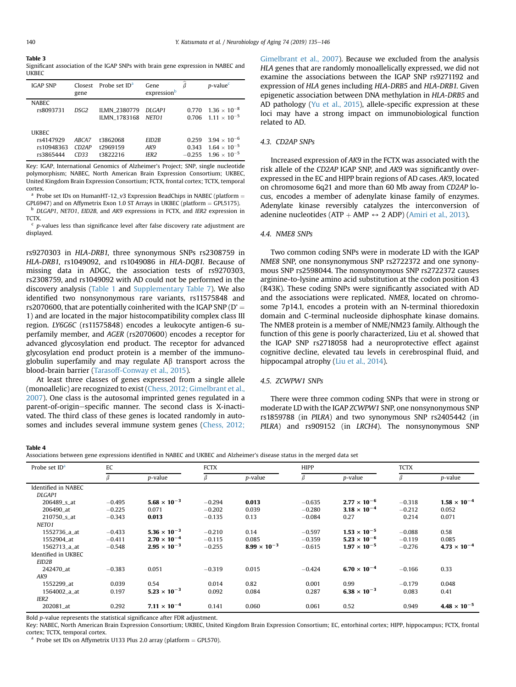<span id="page-5-0"></span>

| I<br>$\sim$ |
|-------------|
|-------------|

#### Table 3

Significant association of the IGAP SNPs with brain gene expression in NABEC and bUKBEC

| <b>IGAP SNP</b>                               | Closest<br>gene        | Probe set ID <sup>a</sup>                  | Gene<br>expressionb              | ô                          | $p$ -value $c$                                                          |
|-----------------------------------------------|------------------------|--------------------------------------------|----------------------------------|----------------------------|-------------------------------------------------------------------------|
| <b>NABEC</b><br>rs8093731                     | DSG <sub>2</sub>       | <b>ILMN 2380779</b><br><b>ILMN 1783168</b> | DI GAP1<br>NETO <sub>1</sub>     | 0.770<br>0.706             | $1.36 \times 10^{-8}$<br>$1.11 \times 10^{-5}$                          |
| UKBEC<br>rs4147929<br>rs10948363<br>rs3865444 | ABCA7<br>CD2AP<br>CD33 | t3862068<br>t2969159<br>t3822216           | EID2B<br>AK9<br>IER <sub>2</sub> | 0.259<br>0.343<br>$-0.255$ | $3.94 \times 10^{-6}$<br>$1.64 \times 10^{-5}$<br>$1.96 \times 10^{-5}$ |

Key: IGAP, International Genomics of Alzheimer's Project; SNP, single nucleotide polymorphism; NABEC, North American Brain Expression Consortium; UKBEC, United Kingdom Brain Expression Consortium; FCTX, frontal cortex; TCTX, temporal cortex.

<sup>a</sup> Probe set IDs on HumanHT-12\_v3 Expression BeadChips in NABEC (platform = GPL6947) and on Affymetrix Exon 1.0 ST Arrays in UKBEC (platform = GPL5175).

<sup>b</sup> DLGAP1, NETO1, EID2B, and AK9 expressions in FCTX, and IER2 expression in TCTX.

 $c$  p-values less than significance level after false discovery rate adjustment are displayed.

rs9270303 in HLA-DRB1, three synonymous SNPs rs2308759 in HLA-DRB1, rs1049092, and rs1049086 in HLA-DQB1. Because of missing data in ADGC, the association tests of rs9270303, rs2308759, and rs1049092 with AD could not be performed in the discovery analysis [\(Table 1](#page-4-0) and Supplementary Table 7). We also identified two nonsynonymous rare variants, rs11575848 and rs2070600, that are potentially coinherited with the IGAP SNP ( $D' =$ 1) and are located in the major histocompatibility complex class III region. LY6G6C (rs11575848) encodes a leukocyte antigen-6 superfamily member, and AGER (rs2070600) encodes a receptor for advanced glycosylation end product. The receptor for advanced glycosylation end product protein is a member of the immunoglobulin superfamily and may regulate  $\mathsf{A}\beta$  transport across the blood-brain barrier [\(Tarasoff-Conway et al., 2015](#page-11-0)).

At least three classes of genes expressed from a single allele (monoallelic) are recognized to exist [\(Chess, 2012; Gimelbrant et al.,](#page-9-0) [2007](#page-9-0)). One class is the autosomal imprinted genes regulated in a parent-of-origin-specific manner. The second class is X-inactivated. The third class of these genes is located randomly in autosomes and includes several immune system genes ([Chess, 2012;](#page-9-0)

[Gimelbrant et al., 2007\)](#page-9-0). Because we excluded from the analysis HLA genes that are randomly monoallelically expressed, we did not examine the associations between the IGAP SNP rs9271192 and expression of HLA genes including HLA-DRB5 and HLA-DRB1. Given epigenetic association between DNA methylation in HLA-DRB5 and AD pathology [\(Yu et al., 2015\)](#page-11-0), allele-specific expression at these loci may have a strong impact on immunobiological function related to AD.

# 4.3. CD2AP SNPs

Increased expression of AK9 in the FCTX was associated with the risk allele of the CD2AP IGAP SNP, and AK9 was significantly overexpressed in the EC and HIPP brain regions of AD cases. AK9, located on chromosome 6q21 and more than 60 Mb away from CD2AP locus, encodes a member of adenylate kinase family of enzymes. Adenylate kinase reversibly catalyzes the interconversion of adenine nucleotides (ATP + AMP  $\leftrightarrow$  2 ADP) ([Amiri et al., 2013\)](#page-9-0).

## 4.4. NME8 SNPs

Two common coding SNPs were in moderate LD with the IGAP NME8 SNP, one nonsynonymous SNP rs2722372 and one synonymous SNP rs2598044. The nonsynonymous SNP rs2722372 causes arginine-to-lysine amino acid substitution at the codon position 43 (R43K). These coding SNPs were significantly associated with AD and the associations were replicated. NME8, located on chromosome 7p14.1, encodes a protein with an N-terminal thioredoxin domain and C-terminal nucleoside diphosphate kinase domains. The NME8 protein is a member of NME/NM23 family. Although the function of this gene is poorly characterized, Liu et al. showed that the IGAP SNP rs2718058 had a neuroprotective effect against cognitive decline, elevated tau levels in cerebrospinal fluid, and hippocampal atrophy [\(Liu et al., 2014](#page-10-0)).

### 4.5. ZCWPW1 SNPs

There were three common coding SNPs that were in strong or moderate LD with the IGAP ZCWPW1 SNP, one nonsynonymous SNP rs1859788 (in PILRA) and two synonymous SNP rs2405442 (in PILRA) and rs909152 (in LRCH4). The nonsynonymous SNP

#### Table 4

| Probe set $IDa$     | EC       |                       | <b>FCTX</b> |                       | <b>HIPP</b> |                       | <b>TCTX</b> |                       |
|---------------------|----------|-----------------------|-------------|-----------------------|-------------|-----------------------|-------------|-----------------------|
|                     | β        | p-value               | β           | p-value               | β           | p-value               | β           | p-value               |
| Identified in NABEC |          |                       |             |                       |             |                       |             |                       |
| DLGAP1              |          |                       |             |                       |             |                       |             |                       |
| 206489_s_at         | $-0.495$ | $5.68 \times 10^{-3}$ | $-0.294$    | 0.013                 | $-0.635$    | $2.77 \times 10^{-6}$ | $-0.318$    | $1.58 \times 10^{-4}$ |
| 206490 at           | $-0.225$ | 0.071                 | $-0.202$    | 0.039                 | $-0.280$    | $3.18 \times 10^{-4}$ | $-0.212$    | 0.052                 |
| 210750 s at         | $-0.343$ | 0.013                 | $-0.135$    | 0.13                  | $-0.084$    | 0.27                  | 0.214       | 0.071                 |
| NETO <sub>1</sub>   |          |                       |             |                       |             |                       |             |                       |
| 1552736_a_at        | $-0.433$ | $5.36 \times 10^{-3}$ | $-0.210$    | 0.14                  | $-0.597$    | $1.53 \times 10^{-5}$ | $-0.088$    | 0.58                  |
| 1552904 at          | $-0.411$ | $2.70 \times 10^{-4}$ | $-0.115$    | 0.085                 | $-0.359$    | $5.23 \times 10^{-6}$ | $-0.119$    | 0.085                 |
| 1562713_a_at        | $-0.548$ | $2.95 \times 10^{-3}$ | $-0.255$    | $8.99 \times 10^{-3}$ | $-0.615$    | $1.97 \times 10^{-5}$ | $-0.276$    | $4.73 \times 10^{-4}$ |
| Identified in UKBEC |          |                       |             |                       |             |                       |             |                       |
| EID <sub>2</sub> B  |          |                       |             |                       |             |                       |             |                       |
| 242470 at           | $-0.383$ | 0.051                 | $-0.319$    | 0.015                 | $-0.424$    | $6.70 \times 10^{-4}$ | $-0.166$    | 0.33                  |
| AK9                 |          |                       |             |                       |             |                       |             |                       |
| 1552299_at          | 0.039    | 0.54                  | 0.014       | 0.82                  | 0.001       | 0.99                  | $-0.179$    | 0.048                 |
| 1564002_a_at        | 0.197    | $5.23 \times 10^{-3}$ | 0.092       | 0.084                 | 0.287       | $6.38 \times 10^{-3}$ | 0.083       | 0.41                  |
| IER2                |          |                       |             |                       |             |                       |             |                       |
| 202081_at           | 0.292    | $7.11 \times 10^{-4}$ | 0.141       | 0.060                 | 0.061       | 0.52                  | 0.949       | $4.48 \times 10^{-5}$ |

Bold p-value represents the statistical significance after FDR adjustment.

Key: NABEC, North American Brain Expression Consortium; UKBEC, United Kingdom Brain Expression Consortium; EC, entorhinal cortex; HIPP, hippocampus; FCTX, frontal cortex; TCTX, temporal cortex.

 $^{\text{a}}$  Probe set IDs on Affymetrix U133 Plus 2.0 array (platform  $=$  GPL570).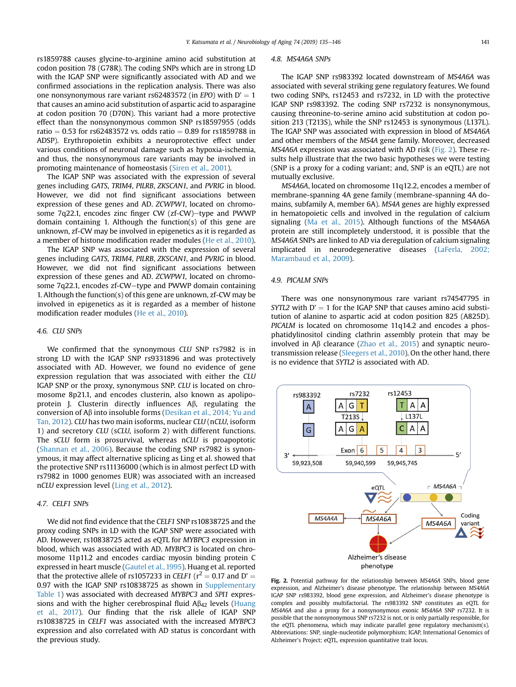rs1859788 causes glycine-to-arginine amino acid substitution at codon position 78 (G78R). The coding SNPs which are in strong LD with the IGAP SNP were significantly associated with AD and we confirmed associations in the replication analysis. There was also one nonsynonymous rare variant rs62483572 (in EPO) with  $D' = 1$ that causes an amino acid substitution of aspartic acid to asparagine at codon position 70 (D70N). This variant had a more protective effect than the nonsynonymous common SNP rs18597955 (odds ratio = 0.53 for rs62483572 vs. odds ratio = 0.89 for rs1859788 in ADSP). Erythropoietin exhibits a neuroprotective effect under various conditions of neuronal damage such as hypoxia-ischemia, and thus, the nonsynonymous rare variants may be involved in promoting maintenance of homeostasis [\(Siren et al., 2001\)](#page-11-0).

The IGAP SNP was associated with the expression of several genes including GATS, TRIM4, PILRB, ZKSCAN1, and PVRIG in blood. However, we did not find significant associations between expression of these genes and AD. ZCWPW1, located on chromosome 7q22.1, encodes zinc finger CW (zf-CW)-type and PWWP domain containing 1. Although the function(s) of this gene are unknown, zf-CW may be involved in epigenetics as it is regarded as a member of histone modification reader modules ([He et al., 2010](#page-10-0)).

The IGAP SNP was associated with the expression of several genes including GATS, TRIM4, PILRB, ZKSCAN1, and PVRIG in blood. However, we did not find significant associations between expression of these genes and AD. ZCWPW1, located on chromosome 7q22.1, encodes zf-CW-type and PWWP domain containing 1. Although the function(s) of this gene are unknown, zf-CW may be involved in epigenetics as it is regarded as a member of histone modification reader modules ([He et al., 2010\)](#page-10-0).

#### 4.6. CLU SNPs

We confirmed that the synonymous CLU SNP rs7982 is in strong LD with the IGAP SNP rs9331896 and was protectively associated with AD. However, we found no evidence of gene expression regulation that was associated with either the CLU IGAP SNP or the proxy, synonymous SNP. CLU is located on chromosome 8p21.1, and encodes clusterin, also known as apolipoprotein J. Clusterin directly influences  $A\beta$ , regulating the conversion of  $A\beta$  into insoluble forms ([Desikan et al., 2014; Yu and](#page-9-0) [Tan, 2012\)](#page-9-0). CLU has two main isoforms, nuclear CLU (nCLU, isoform 1) and secretory CLU (sCLU, isoform 2) with different functions. The sCLU form is prosurvival, whereas nCLU is proapoptotic ([Shannan et al., 2006](#page-11-0)). Because the coding SNP rs7982 is synonymous, it may affect alternative splicing as Ling et al. showed that the protective SNP rs11136000 (which is in almost perfect LD with rs7982 in 1000 genomes EUR) was associated with an increased nCLU expression level [\(Ling et al., 2012\)](#page-10-0).

#### 4.7. CELF1 SNPs

We did not find evidence that the CELF1 SNP rs10838725 and the proxy coding SNPs in LD with the IGAP SNP were associated with AD. However, rs10838725 acted as eQTL for MYBPC3 expression in blood, which was associated with AD. MYBPC3 is located on chromosome 11p11.2 and encodes cardiac myosin binding protein C expressed in heart muscle [\(Gautel et al., 1995](#page-10-0)). Huang et al. reported that the protective allele of rs1057233 in CELF1 ( $r^2 = 0.17$  and D' = 0.97 with the IGAP SNP rs10838725 as shown in Supplementary Table 1) was associated with decreased MYBPC3 and SPI1 expressions and with the higher cerebrospinal fluid  $A\beta_{42}$  levels [\(Huang](#page-10-0) [et al., 2017\)](#page-10-0). Our finding that the risk allele of IGAP SNP rs10838725 in CELF1 was associated with the increased MYBPC3 expression and also correlated with AD status is concordant with the previous study.

#### 4.8. MS4A6A SNPs

The IGAP SNP rs983392 located downstream of MS4A6A was associated with several striking gene regulatory features. We found two coding SNPs, rs12453 and rs7232, in LD with the protective IGAP SNP rs983392. The coding SNP rs7232 is nonsynonymous, causing threonine-to-serine amino acid substitution at codon position 213 (T213S), while the SNP rs12453 is synonymous (L137L). The IGAP SNP was associated with expression in blood of MS4A6A and other members of the MS4A gene family. Moreover, decreased MS4A6A expression was associated with AD risk (Fig. 2). These results help illustrate that the two basic hypotheses we were testing (SNP is a proxy for a coding variant; and, SNP is an eQTL) are not mutually exclusive.

MS4A6A, located on chromosome 11q12.2, encodes a member of membrane-spanning 4A gene family (membrane-spanning 4A domains, subfamily A, member 6A). MS4A genes are highly expressed in hematopoietic cells and involved in the regulation of calcium signaling ([Ma et al., 2015\)](#page-11-0). Although functions of the MS4A6A protein are still incompletely understood, it is possible that the MS4A6A SNPs are linked to AD via deregulation of calcium signaling implicated in neurodegenerative diseases ([LaFerla, 2002;](#page-10-0) [Marambaud et al., 2009](#page-10-0)).

#### 4.9. PICALM SNPs

There was one nonsynonymous rare variant rs74547795 in SYTL2 with  $D' = 1$  for the IGAP SNP that causes amino acid substitution of alanine to aspartic acid at codon position 825 (A825D). PICALM is located on chromosome 11q14.2 and encodes a phosphatidylinositol cinding clathrin assembly protein that may be involved in  $\mathsf{A}\beta$  clearance [\(Zhao et al., 2015](#page-11-0)) and synaptic neurotransmission release ([Sleegers et al., 2010\)](#page-11-0). On the other hand, there is no evidence that SYTL2 is associated with AD.



Fig. 2. Potential pathway for the relationship between MS4A6A SNPs, blood gene expression, and Alzheimer's disease phenotype. The relationship between MS4A6A IGAP SNP rs983392, blood gene expression, and Alzheimer's disease phenotype is complex and possibly multifactorial. The rs983392 SNP constitutes an eQTL for MS4A6A and also a proxy for a nonsynonymous exonic MS4A6A SNP rs7232. It is possible that the nonsynonymous SNP rs7232 is not, or is only partially responsible, for the eQTL phenomena, which may indicate parallel gene regulatory mechanism(s). Abbreviations: SNP, single-nucleotide polymorphism; IGAP, International Genomics of Alzheimer's Project; eQTL, expression quantitative trait locus.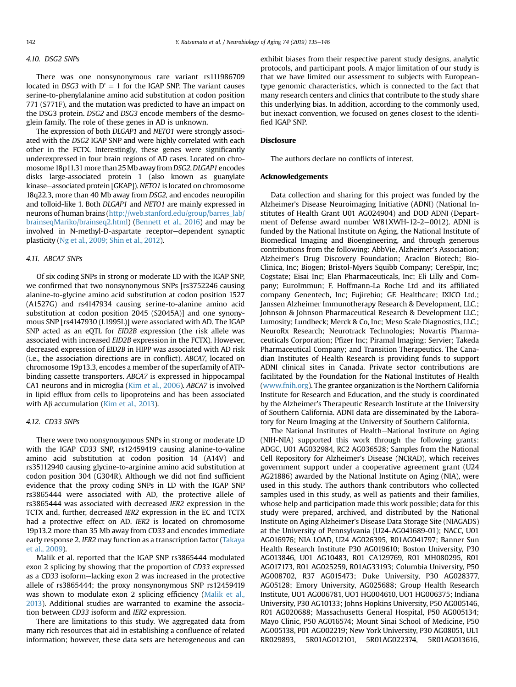# 4.10. DSG2 SNPs

There was one nonsynonymous rare variant rs111986709 located in DSG3 with  $D' = 1$  for the IGAP SNP. The variant causes serine-to-phenylalanine amino acid substitution at codon position 771 (S771F), and the mutation was predicted to have an impact on the DSG3 protein. DSG2 and DSG3 encode members of the desmoglein family. The role of these genes in AD is unknown.

The expression of both DLGAP1 and NETO1 were strongly associated with the DSG2 IGAP SNP and were highly correlated with each other in the FCTX. Interestingly, these genes were significantly underexpressed in four brain regions of AD cases. Located on chromosome 18p11.31 more than 25 Mb away from DSG2, DLGAP1 encodes disks large-associated protein 1 (also known as guanylate kinase-associated protein [GKAP]). NETO1 is located on chromosome 18q22.3, more than 40 Mb away from DSG2, and encodes neuropilin and tolloid-like 1. Both DLGAP1 and NETO1 are mainly expressed in neurons of human brains [\(http://web.stanford.edu/group/barres\\_lab/](http://web.stanford.edu/group/barres_lab/brainseqMariko/brainseq2.html) [brainseqMariko/brainseq2.html](http://web.stanford.edu/group/barres_lab/brainseqMariko/brainseq2.html)) [\(Bennett et al., 2016](#page-9-0)) and may be involved in N-methyl-D-aspartate receptor-dependent synaptic plasticity ([Ng et al., 2009; Shin et al., 2012](#page-11-0)).

#### 4.11. ABCA7 SNPs

Of six coding SNPs in strong or moderate LD with the IGAP SNP, we confirmed that two nonsynonymous SNPs [rs3752246 causing alanine-to-glycine amino acid substitution at codon position 1527 (A1527G) and rs4147934 causing serine-to-alanine amino acid substitution at codon position 2045 (S2045A)] and one synonymous SNP [rs4147930 (L1995L)] were associated with AD. The IGAP SNP acted as an eQTL for EID2B expression (the risk allele was associated with increased EID2B expression in the FCTX). However, decreased expression of EID2B in HIPP was associated with AD risk (i.e., the association directions are in conflict). ABCA7, located on chromosome 19p13.3, encodes a member of the superfamily of ATPbinding cassette transporters. ABCA7 is expressed in hippocampal CA1 neurons and in microglia ([Kim et al., 2006](#page-10-0)). ABCA7 is involved in lipid efflux from cells to lipoproteins and has been associated with  $\mathsf{A}\beta$  accumulation [\(Kim et al., 2013](#page-10-0)).

### 4.12. CD33 SNPs

There were two nonsynonymous SNPs in strong or moderate LD with the IGAP CD33 SNP, rs12459419 causing alanine-to-valine amino acid substitution at codon position 14 (A14V) and rs35112940 causing glycine-to-arginine amino acid substitution at codon position 304 (G304R). Although we did not find sufficient evidence that the proxy coding SNPs in LD with the IGAP SNP rs3865444 were associated with AD, the protective allele of rs3865444 was associated with decreased IER2 expression in the TCTX and, further, decreased IER2 expression in the EC and TCTX had a protective effect on AD. IER2 is located on chromosome 19p13.2 more than 35 Mb away from CD33 and encodes immediate early response 2. IER2 may function as a transcription factor [\(Takaya](#page-11-0) [et al., 2009](#page-11-0)).

Malik et al. reported that the IGAP SNP rs3865444 modulated exon 2 splicing by showing that the proportion of CD33 expressed as a CD33 isoform-lacking exon 2 was increased in the protective allele of rs3865444; the proxy nonsynonymous SNP rs12459419 was shown to modulate exon 2 splicing efficiency [\(Malik et al.,](#page-11-0) [2013](#page-11-0)). Additional studies are warranted to examine the association between CD33 isoform and IER2 expression.

There are limitations to this study. We aggregated data from many rich resources that aid in establishing a confluence of related information; however, these data sets are heterogeneous and can

exhibit biases from their respective parent study designs, analytic protocols, and participant pools. A major limitation of our study is that we have limited our assessment to subjects with Europeantype genomic characteristics, which is connected to the fact that many research centers and clinics that contribute to the study share this underlying bias. In addition, according to the commonly used, but inexact convention, we focused on genes closest to the identified IGAP SNP.

## **Disclosure**

The authors declare no conflicts of interest.

#### Acknowledgements

Data collection and sharing for this project was funded by the Alzheimer's Disease Neuroimaging Initiative (ADNI) (National Institutes of Health Grant U01 AG024904) and DOD ADNI (Department of Defense award number W81XWH-12-2-0012). ADNI is funded by the National Institute on Aging, the National Institute of Biomedical Imaging and Bioengineering, and through generous contributions from the following: AbbVie, Alzheimer's Association; Alzheimer's Drug Discovery Foundation; Araclon Biotech; Bio-Clinica, Inc; Biogen; Bristol-Myers Squibb Company; CereSpir, Inc; Cogstate; Eisai Inc; Elan Pharmaceuticals, Inc; Eli Lilly and Company; EuroImmun; F. Hoffmann-La Roche Ltd and its affiliated company Genentech, Inc; Fujirebio; GE Healthcare; IXICO Ltd.; Janssen Alzheimer Immunotherapy Research & Development, LLC.; Johnson & Johnson Pharmaceutical Research & Development LLC.; Lumosity; Lundbeck; Merck & Co, Inc; Meso Scale Diagnostics, LLC.; NeuroRx Research; Neurotrack Technologies; Novartis Pharmaceuticals Corporation; Pfizer Inc; Piramal Imaging; Servier; Takeda Pharmaceutical Company; and Transition Therapeutics. The Canadian Institutes of Health Research is providing funds to support ADNI clinical sites in Canada. Private sector contributions are facilitated by the Foundation for the National Institutes of Health ([www.fnih.org](http://www.fnih.org)). The grantee organization is the Northern California Institute for Research and Education, and the study is coordinated by the Alzheimer's Therapeutic Research Institute at the University of Southern California. ADNI data are disseminated by the Laboratory for Neuro Imaging at the University of Southern California.

The National Institutes of Health–National Institute on Aging (NIH-NIA) supported this work through the following grants: ADGC, U01 AG032984, RC2 AG036528; Samples from the National Cell Repository for Alzheimer's Disease (NCRAD), which receives government support under a cooperative agreement grant (U24 AG21886) awarded by the National Institute on Aging (NIA), were used in this study. The authors thank contributors who collected samples used in this study, as well as patients and their families, whose help and participation made this work possible; data for this study were prepared, archived, and distributed by the National Institute on Aging Alzheimer's Disease Data Storage Site (NIAGADS) at the University of Pennsylvania (U24-AG041689-01); NACC, U01 AG016976; NIA LOAD, U24 AG026395, R01AG041797; Banner Sun Health Research Institute P30 AG019610; Boston University, P30 AG013846, U01 AG10483, R01 CA129769, R01 MH080295, R01 AG017173, R01 AG025259, R01AG33193; Columbia University, P50 AG008702, R37 AG015473; Duke University, P30 AG028377, AG05128; Emory University, AG025688; Group Health Research Institute, UO1 AG006781, UO1 HG004610, UO1 HG006375; Indiana University, P30 AG10133; Johns Hopkins University, P50 AG005146, R01 AG020688; Massachusetts General Hospital, P50 AG005134; Mayo Clinic, P50 AG016574; Mount Sinai School of Medicine, P50 AG005138, P01 AG002219; New York University, P30 AG08051, UL1 RR029893, 5R01AG012101, 5R01AG022374, 5R01AG013616,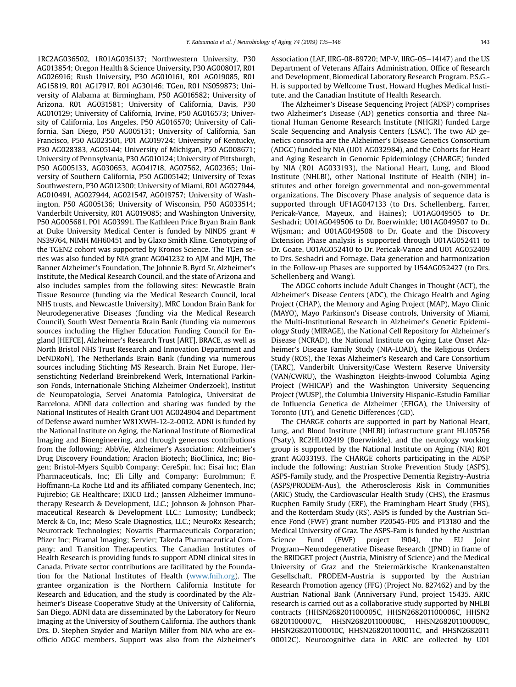1RC2AG036502, 1R01AG035137; Northwestern University, P30 AG013854; Oregon Health & Science University, P30 AG008017, R01 AG026916; Rush University, P30 AG010161, R01 AG019085, R01 AG15819, R01 AG17917, R01 AG30146; TGen, R01 NS059873; University of Alabama at Birmingham, P50 AG016582; University of Arizona, R01 AG031581; University of California, Davis, P30 AG010129; University of California, Irvine, P50 AG016573; University of California, Los Angeles, P50 AG016570; University of California, San Diego, P50 AG005131; University of California, San Francisco, P50 AG023501, P01 AG019724; University of Kentucky, P30 AG028383, AG05144; University of Michigan, P50 AG008671; University of Pennsylvania, P30 AG010124; University of Pittsburgh, P50 AG005133, AG030653, AG041718, AG07562, AG02365; University of Southern California, P50 AG005142; University of Texas Southwestern, P30 AG012300; University of Miami, R01 AG027944, AG010491, AG027944, AG021547, AG019757; University of Washington, P50 AG005136; University of Wisconsin, P50 AG033514; Vanderbilt University, R01 AG019085; and Washington University, P50 AG005681, P01 AG03991. The Kathleen Price Bryan Brain Bank at Duke University Medical Center is funded by NINDS grant # NS39764, NIMH MH60451 and by Glaxo Smith Kline. Genotyping of the TGEN2 cohort was supported by Kronos Science. The TGen series was also funded by NIA grant AG041232 to AJM and MJH, The Banner Alzheimer's Foundation, The Johnnie B. Byrd Sr. Alzheimer's Institute, the Medical Research Council, and the state of Arizona and also includes samples from the following sites: Newcastle Brain Tissue Resource (funding via the Medical Research Council, local NHS trusts, and Newcastle University), MRC London Brain Bank for Neurodegenerative Diseases (funding via the Medical Research Council), South West Dementia Brain Bank (funding via numerous sources including the Higher Education Funding Council for England [HEFCE], Alzheimer's Research Trust [ART], BRACE, as well as North Bristol NHS Trust Research and Innovation Department and DeNDRoN), The Netherlands Brain Bank (funding via numerous sources including Stichting MS Research, Brain Net Europe, Hersenstichting Nederland Breinbrekend Werk, International Parkinson Fonds, Internationale Stiching Alzheimer Onderzoek), Institut de Neuropatologia, Servei Anatomia Patologica, Universitat de Barcelona. ADNI data collection and sharing was funded by the National Institutes of Health Grant U01 AG024904 and Department of Defense award number W81XWH-12-2-0012. ADNI is funded by the National Institute on Aging, the National Institute of Biomedical Imaging and Bioengineering, and through generous contributions from the following: AbbVie, Alzheimer's Association; Alzheimer's Drug Discovery Foundation; Araclon Biotech; BioClinica, Inc; Biogen; Bristol-Myers Squibb Company; CereSpir, Inc; Eisai Inc; Elan Pharmaceuticals, Inc; Eli Lilly and Company; EuroImmun; F. Hoffmann-La Roche Ltd and its affiliated company Genentech, Inc; Fujirebio; GE Healthcare; IXICO Ltd.; Janssen Alzheimer Immunotherapy Research & Development, LLC.; Johnson & Johnson Pharmaceutical Research & Development LLC.; Lumosity; Lundbeck; Merck & Co, Inc; Meso Scale Diagnostics, LLC.; NeuroRx Research; Neurotrack Technologies; Novartis Pharmaceuticals Corporation; Pfizer Inc; Piramal Imaging; Servier; Takeda Pharmaceutical Company; and Transition Therapeutics. The Canadian Institutes of Health Research is providing funds to support ADNI clinical sites in Canada. Private sector contributions are facilitated by the Foundation for the National Institutes of Health [\(www.fnih.org](http://www.fnih.org)). The grantee organization is the Northern California Institute for Research and Education, and the study is coordinated by the Alzheimer's Disease Cooperative Study at the University of California, San Diego. ADNI data are disseminated by the Laboratory for Neuro Imaging at the University of Southern California. The authors thank Drs. D. Stephen Snyder and Marilyn Miller from NIA who are exofficio ADGC members. Support was also from the Alzheimer's Association (LAF, IIRG-08-89720; MP-V, IIRG-05-14147) and the US Department of Veterans Affairs Administration, Office of Research and Development, Biomedical Laboratory Research Program. P.S.G.- H. is supported by Wellcome Trust, Howard Hughes Medical Institute, and the Canadian Institute of Health Research.

The Alzheimer's Disease Sequencing Project (ADSP) comprises two Alzheimer's Disease (AD) genetics consortia and three National Human Genome Research Institute (NHGRI) funded Large Scale Sequencing and Analysis Centers (LSAC). The two AD genetics consortia are the Alzheimer's Disease Genetics Consortium (ADGC) funded by NIA (U01 AG032984), and the Cohorts for Heart and Aging Research in Genomic Epidemiology (CHARGE) funded by NIA (R01 AG033193), the National Heart, Lung, and Blood Institute (NHLBI), other National Institute of Health (NIH) institutes and other foreign governmental and non-governmental organizations. The Discovery Phase analysis of sequence data is supported through UF1AG047133 (to Drs. Schellenberg, Farrer, Pericak-Vance, Mayeux, and Haines); U01AG049505 to Dr. Seshadri; U01AG049506 to Dr. Boerwinkle; U01AG049507 to Dr. Wijsman; and U01AG049508 to Dr. Goate and the Discovery Extension Phase analysis is supported through U01AG052411 to Dr. Goate, U01AG052410 to Dr. Pericak-Vance and U01 AG052409 to Drs. Seshadri and Fornage. Data generation and harmonization in the Follow-up Phases are supported by U54AG052427 (to Drs. Schellenberg and Wang).

The ADGC cohorts include Adult Changes in Thought (ACT), the Alzheimer's Disease Centers (ADC), the Chicago Health and Aging Project (CHAP), the Memory and Aging Project (MAP), Mayo Clinic (MAYO), Mayo Parkinson's Disease controls, University of Miami, the Multi-Institutional Research in Alzheimer's Genetic Epidemiology Study (MIRAGE), the National Cell Repository for Alzheimer's Disease (NCRAD), the National Institute on Aging Late Onset Alzheimer's Disease Family Study (NIA-LOAD), the Religious Orders Study (ROS), the Texas Alzheimer's Research and Care Consortium (TARC), Vanderbilt University/Case Western Reserve University (VAN/CWRU), the Washington Heights-Inwood Columbia Aging Project (WHICAP) and the Washington University Sequencing Project (WUSP), the Columbia University Hispanic-Estudio Familiar de Influencia Genetica de Alzheimer (EFIGA), the University of Toronto (UT), and Genetic Differences (GD).

The CHARGE cohorts are supported in part by National Heart, Lung, and Blood Institute (NHLBI) infrastructure grant HL105756 (Psaty), RC2HL102419 (Boerwinkle), and the neurology working group is supported by the National Institute on Aging (NIA) R01 grant AG033193. The CHARGE cohorts participating in the ADSP include the following: Austrian Stroke Prevention Study (ASPS), ASPS-Family study, and the Prospective Dementia Registry-Austria (ASPS/PRODEM-Aus), the Atherosclerosis Risk in Communities (ARIC) Study, the Cardiovascular Health Study (CHS), the Erasmus Rucphen Family Study (ERF), the Framingham Heart Study (FHS), and the Rotterdam Study (RS). ASPS is funded by the Austrian Science Fond (FWF) grant number P20545-P05 and P13180 and the Medical University of Graz. The ASPS-Fam is funded by the Austrian Science Fund (FWF) project I904), the EU Joint Program-Neurodegenerative Disease Research (JPND) in frame of the BRIDGET project (Austria, Ministry of Science) and the Medical University of Graz and the Steiermärkische Krankenanstalten Gesellschaft. PRODEM-Austria is supported by the Austrian Research Promotion agency (FFG) (Project No. 827462) and by the Austrian National Bank (Anniversary Fund, project 15435. ARIC research is carried out as a collaborative study supported by NHLBI contracts (HHSN268201100005C, HHSN268201100006C, HHSN2 68201100007C, HHSN268201100008C, HHSN268201100009C, HHSN268201100010C, HHSN268201100011C, and HHSN2682011 00012C). Neurocognitive data in ARIC are collected by U01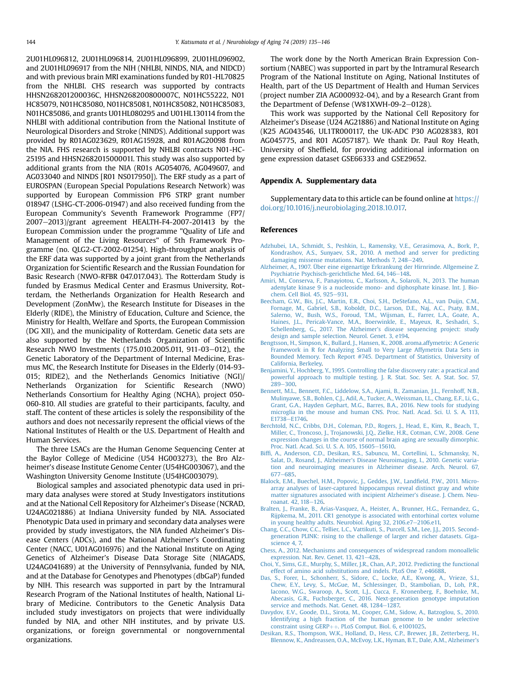<span id="page-9-0"></span>2U01HL096812, 2U01HL096814, 2U01HL096899, 2U01HL096902, and 2U01HL096917 from the NIH (NHLBI, NINDS, NIA, and NIDCD) and with previous brain MRI examinations funded by R01-HL70825 from the NHLBI. CHS research was supported by contracts HHSN268201200036C, HHSN268200800007C, N01HC55222, N01 HC85079, N01HC85080, N01HC85081, N01HC85082, N01HC85083, N01HC85086, and grants U01HL080295 and U01HL130114 from the NHLBI with additional contribution from the National Institute of Neurological Disorders and Stroke (NINDS). Additional support was provided by R01AG023629, R01AG15928, and R01AG20098 from the NIA. FHS research is supported by NHLBI contracts N01-HC-25195 and HHSN268201500001I. This study was also supported by additional grants from the NIA (R01s AG054076, AG049607, and AG033040 and NINDS [R01 NS017950]). The ERF study as a part of EUROSPAN (European Special Populations Research Network) was supported by European Commission FP6 STRP grant number 018947 (LSHG-CT-2006-01947) and also received funding from the European Community's Seventh Framework Programme (FP7/  $2007-2013$ )/grant agreement HEALTH-F4-2007-201413 by the European Commission under the programme "Quality of Life and Management of the Living Resources" of 5th Framework Programme (no. QLG2-CT-2002-01254). High-throughput analysis of the ERF data was supported by a joint grant from the Netherlands Organization for Scientific Research and the Russian Foundation for Basic Research (NWO-RFBR 047.017.043). The Rotterdam Study is funded by Erasmus Medical Center and Erasmus University, Rotterdam, the Netherlands Organization for Health Research and Development (ZonMw), the Research Institute for Diseases in the Elderly (RIDE), the Ministry of Education, Culture and Science, the Ministry for Health, Welfare and Sports, the European Commission (DG XII), and the municipality of Rotterdam. Genetic data sets are also supported by the Netherlands Organization of Scientific Research NWO Investments (175.010.2005.011, 911-03-012), the Genetic Laboratory of the Department of Internal Medicine, Erasmus MC, the Research Institute for Diseases in the Elderly (014-93- 015; RIDE2), and the Netherlands Genomics Initiative (NGI)/ Netherlands Organization for Scientific Research (NWO) Netherlands Consortium for Healthy Aging (NCHA), project 050- 060-810. All studies are grateful to their participants, faculty, and staff. The content of these articles is solely the responsibility of the authors and does not necessarily represent the official views of the National Institutes of Health or the U.S. Department of Health and Human Services.

The three LSACs are the Human Genome Sequencing Center at the Baylor College of Medicine (U54 HG003273), the Bro Alzheimer's disease Institute Genome Center (U54HG003067), and the Washington University Genome Institute (U54HG003079).

Biological samples and associated phenotypic data used in primary data analyses were stored at Study Investigators institutions and at the National Cell Repository for Alzheimer's Disease (NCRAD, U24AG021886) at Indiana University funded by NIA. Associated Phenotypic Data used in primary and secondary data analyses were provided by study investigators, the NIA funded Alzheimer's Disease Centers (ADCs), and the National Alzheimer's Coordinating Center (NACC, U01AG016976) and the National Institute on Aging Genetics of Alzheimer's Disease Data Storage Site (NIAGADS, U24AG041689) at the University of Pennsylvania, funded by NIA, and at the Database for Genotypes and Phenotypes (dbGaP) funded by NIH. This research was supported in part by the Intramural Research Program of the National Institutes of health, National Library of Medicine. Contributors to the Genetic Analysis Data included study investigators on projects that were individually funded by NIA, and other NIH institutes, and by private U.S. organizations, or foreign governmental or nongovernmental organizations.

The work done by the North American Brain Expression Consortium (NABEC) was supported in part by the Intramural Research Program of the National Institute on Aging, National Institutes of Health, part of the US Department of Health and Human Services (project number ZIA AG000932-04), and by a Research Grant from the Department of Defense (W81XWH-09-2-0128).

This work was supported by the National Cell Repository for Alzheimer's Disease (U24 AG21886) and National Institute on Aging (K25 AG043546, UL1TR000117, the UK-ADC P30 AG028383, R01 AG045775, and R01 AG057187). We thank Dr. Paul Roy Heath, University of Sheffield, for providing additional information on gene expression dataset GSE66333 and GSE29652.

#### Appendix A. Supplementary data

Supplementary data to this article can be found online at [https://](https://doi.org/10.1016/j.neurobiolaging.2018.10.017) [doi.org/10.1016/j.neurobiolaging.2018.10.017.](https://doi.org/10.1016/j.neurobiolaging.2018.10.017)

## References

- [Adzhubei, I.A., Schmidt, S., Peshkin, L., Ramensky, V.E., Gerasimova, A., Bork, P.,](http://refhub.elsevier.com/S0197-4580(18)30381-6/sref1) [Kondrashov, A.S., Sunyaev, S.R., 2010. A method and server for predicting](http://refhub.elsevier.com/S0197-4580(18)30381-6/sref1) [damaging missense mutations. Nat. Methods 7, 248](http://refhub.elsevier.com/S0197-4580(18)30381-6/sref1)-[249.](http://refhub.elsevier.com/S0197-4580(18)30381-6/sref1)
- [Alzheimer, A., 1907. Über eine eigenartige Erkrankung der Hirnrinde. Allgemeine Z.](http://refhub.elsevier.com/S0197-4580(18)30381-6/sref2) [Psychiatrie Psychisch-gerichtliche Med. 64, 146](http://refhub.elsevier.com/S0197-4580(18)30381-6/sref2)-[148](http://refhub.elsevier.com/S0197-4580(18)30381-6/sref2).
- [Amiri, M., Conserva, F., Panayiotou, C., Karlsson, A., Solaroli, N., 2013. The human](http://refhub.elsevier.com/S0197-4580(18)30381-6/sref3) [adenylate kinase 9 is a nucleoside mono- and diphosphate kinase. Int. J. Bio](http://refhub.elsevier.com/S0197-4580(18)30381-6/sref3)[chem. Cell Biol. 45, 925](http://refhub.elsevier.com/S0197-4580(18)30381-6/sref3)-[931.](http://refhub.elsevier.com/S0197-4580(18)30381-6/sref3)
- [Beecham, G.W., Bis, J.C., Martin, E.R., Choi, S.H., DeStefano, A.L., van Duijn, C.M.,](http://refhub.elsevier.com/S0197-4580(18)30381-6/sref4) [Fornage, M., Gabriel, S.B., Koboldt, D.C., Larson, D.E., Naj, A.C., Psaty, B.M.,](http://refhub.elsevier.com/S0197-4580(18)30381-6/sref4) [Salerno, W., Bush, W.S., Foroud, T.M., Wijsman, E., Farrer, L.A., Goate, A.,](http://refhub.elsevier.com/S0197-4580(18)30381-6/sref4) [Haines, J.L., Pericak-Vance, M.A., Boerwinkle, E., Mayeux, R., Seshadri, S.,](http://refhub.elsevier.com/S0197-4580(18)30381-6/sref4) [Schellenberg, G., 2017. The Alzheimer](http://refhub.elsevier.com/S0197-4580(18)30381-6/sref4)'s disease sequencing project: study [design and sample selection. Neurol. Genet. 3, e194.](http://refhub.elsevier.com/S0197-4580(18)30381-6/sref4)
- [Bengtsson, H., Simpson, K., Bullard, J., Hansen, K., 2008. aroma.affymetrix: A Generic](http://refhub.elsevier.com/S0197-4580(18)30381-6/sref5) [Framework in R for Analyzing Small to Very Large Affymetrix Data Sets in](http://refhub.elsevier.com/S0197-4580(18)30381-6/sref5) [Bounded Memory. Tech Report #745. Department of Statistics, University of](http://refhub.elsevier.com/S0197-4580(18)30381-6/sref5) [California, Berkeley.](http://refhub.elsevier.com/S0197-4580(18)30381-6/sref5)
- [Benjamini, Y., Hochberg, Y., 1995. Controlling the false discovery rate: a practical and](http://refhub.elsevier.com/S0197-4580(18)30381-6/sref6) [powerful approach to multiple testing. J. R. Stat. Soc. Ser. A. Stat. Soc. 57,](http://refhub.elsevier.com/S0197-4580(18)30381-6/sref6)  $289 - 300.$  $289 - 300.$  $289 - 300.$
- [Bennett, M.L., Bennett, F.C., Liddelow, S.A., Ajami, B., Zamanian, J.L., Fernhoff, N.B.,](http://refhub.elsevier.com/S0197-4580(18)30381-6/sref7) [Mulinyawe, S.B., Bohlen, C.J., Adil, A., Tucker, A., Weissman, I.L., Chang, E.F., Li, G.,](http://refhub.elsevier.com/S0197-4580(18)30381-6/sref7) [Grant, G.A., Hayden Gephart, M.G., Barres, B.A., 2016. New tools for studying](http://refhub.elsevier.com/S0197-4580(18)30381-6/sref7) [microglia in the mouse and human CNS. Proc. Natl. Acad. Sci. U. S. A. 113,](http://refhub.elsevier.com/S0197-4580(18)30381-6/sref7) [E1738](http://refhub.elsevier.com/S0197-4580(18)30381-6/sref7)-[E1746.](http://refhub.elsevier.com/S0197-4580(18)30381-6/sref7)
- [Berchtold, N.C., Cribbs, D.H., Coleman, P.D., Rogers, J., Head, E., Kim, R., Beach, T.,](http://refhub.elsevier.com/S0197-4580(18)30381-6/sref8) [Miller, C., Troncoso, J., Trojanowski, J.Q., Zielke, H.R., Cotman, C.W., 2008. Gene](http://refhub.elsevier.com/S0197-4580(18)30381-6/sref8) [expression changes in the course of normal brain aging are sexually dimorphic.](http://refhub.elsevier.com/S0197-4580(18)30381-6/sref8) [Proc. Natl. Acad. Sci. U. S. A. 105, 15605](http://refhub.elsevier.com/S0197-4580(18)30381-6/sref8)-[15610.](http://refhub.elsevier.com/S0197-4580(18)30381-6/sref8)
- Biffi[, A., Anderson, C.D., Desikan, R.S., Sabuncu, M., Cortellini, L., Schmansky, N.,](http://refhub.elsevier.com/S0197-4580(18)30381-6/sref9) Salat, D., Rosand, J., Alzheimer'[s Disease Neuroimaging, I., 2010. Genetic varia](http://refhub.elsevier.com/S0197-4580(18)30381-6/sref9)[tion and neuroimaging measures in Alzheimer disease. Arch. Neurol. 67,](http://refhub.elsevier.com/S0197-4580(18)30381-6/sref9) [677](http://refhub.elsevier.com/S0197-4580(18)30381-6/sref9)-[685](http://refhub.elsevier.com/S0197-4580(18)30381-6/sref9).
- [Blalock, E.M., Buechel, H.M., Popovic, J., Geddes, J.W., Land](http://refhub.elsevier.com/S0197-4580(18)30381-6/sref10)field, P.W., 2011. Micro[array analyses of laser-captured hippocampus reveal distinct gray and white](http://refhub.elsevier.com/S0197-4580(18)30381-6/sref10) [matter signatures associated with incipient Alzheimer](http://refhub.elsevier.com/S0197-4580(18)30381-6/sref10)'s disease. J. Chem. Neu[roanat. 42, 118](http://refhub.elsevier.com/S0197-4580(18)30381-6/sref10)-[126](http://refhub.elsevier.com/S0197-4580(18)30381-6/sref10).
- [Bralten, J., Franke, B., Arias-Vasquez, A., Heister, A., Brunner, H.G., Fernandez, G.,](http://refhub.elsevier.com/S0197-4580(18)30381-6/sref11) [Rijpkema, M., 2011. CR1 genotype is associated with entorhinal cortex volume](http://refhub.elsevier.com/S0197-4580(18)30381-6/sref11)
- [in young healthy adults. Neurobiol. Aging 32, 2106.e7](http://refhub.elsevier.com/S0197-4580(18)30381-6/sref11)–[2106.e11.](http://refhub.elsevier.com/S0197-4580(18)30381-6/sref11)<br>[Chang, C.C., Chow, C.C., Tellier, L.C., Vattikuti, S., Purcell, S.M., Lee, J.J., 2015. Second](http://refhub.elsevier.com/S0197-4580(18)30381-6/sref12)[generation PLINK: rising to the challenge of larger and richer datasets. Giga](http://refhub.elsevier.com/S0197-4580(18)30381-6/sref12)[science 4, 7.](http://refhub.elsevier.com/S0197-4580(18)30381-6/sref12)
- [Chess, A., 2012. Mechanisms and consequences of widespread random monoallelic](http://refhub.elsevier.com/S0197-4580(18)30381-6/sref13) [expression. Nat. Rev. Genet. 13, 421](http://refhub.elsevier.com/S0197-4580(18)30381-6/sref13)-[428.](http://refhub.elsevier.com/S0197-4580(18)30381-6/sref13)
- [Choi, Y., Sims, G.E., Murphy, S., Miller, J.R., Chan, A.P., 2012. Predicting the functional](http://refhub.elsevier.com/S0197-4580(18)30381-6/sref14) [effect of amino acid substitutions and indels. PLoS One 7, e46688.](http://refhub.elsevier.com/S0197-4580(18)30381-6/sref14)
- [Das, S., Forer, L., Schonherr, S., Sidore, C., Locke, A.E., Kwong, A., Vrieze, S.I.,](http://refhub.elsevier.com/S0197-4580(18)30381-6/sref15) [Chew, E.Y., Levy, S., McGue, M., Schlessinger, D., Stambolian, D., Loh, P.R.,](http://refhub.elsevier.com/S0197-4580(18)30381-6/sref15) [Iacono, W.G., Swaroop, A., Scott, L.J., Cucca, F., Kronenberg, F., Boehnke, M.,](http://refhub.elsevier.com/S0197-4580(18)30381-6/sref15) [Abecasis, G.R., Fuchsberger, C., 2016. Next-generation genotype imputation](http://refhub.elsevier.com/S0197-4580(18)30381-6/sref15) [service and methods. Nat. Genet. 48, 1284](http://refhub.elsevier.com/S0197-4580(18)30381-6/sref15)-[1287.](http://refhub.elsevier.com/S0197-4580(18)30381-6/sref15)
- [Davydov, E.V., Goode, D.L., Sirota, M., Cooper, G.M., Sidow, A., Batzoglou, S., 2010.](http://refhub.elsevier.com/S0197-4580(18)30381-6/sref16) [Identifying a high fraction of the human genome to be under selective](http://refhub.elsevier.com/S0197-4580(18)30381-6/sref16) [constraint using GERP](http://refhub.elsevier.com/S0197-4580(18)30381-6/sref16)++[. PLoS Comput. Biol. 6, e1001025.](http://refhub.elsevier.com/S0197-4580(18)30381-6/sref16)
- [Desikan, R.S., Thompson, W.K., Holland, D., Hess, C.P., Brewer, J.B., Zetterberg, H.,](http://refhub.elsevier.com/S0197-4580(18)30381-6/sref17) [Blennow, K., Andreassen, O.A., McEvoy, L.K., Hyman, B.T., Dale, A.M., Alzheimer](http://refhub.elsevier.com/S0197-4580(18)30381-6/sref17)'s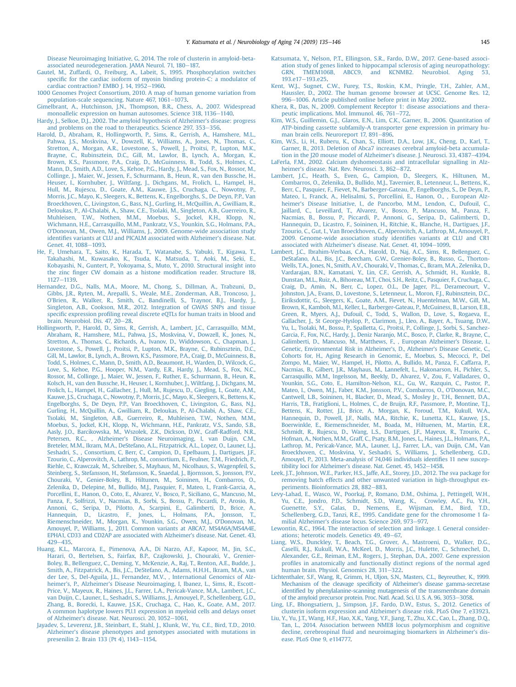<span id="page-10-0"></span>[Disease Neuroimaging Initiative, G, 2014. The role of clusterin in amyloid-beta](http://refhub.elsevier.com/S0197-4580(18)30381-6/sref17)[associated neurodegeneration. JAMA Neurol. 71, 180](http://refhub.elsevier.com/S0197-4580(18)30381-6/sref17)-[187.](http://refhub.elsevier.com/S0197-4580(18)30381-6/sref17)

- [Gautel, M., Zuffardi, O., Freiburg, A., Labeit, S., 1995. Phosphorylation switches](http://refhub.elsevier.com/S0197-4580(18)30381-6/sref18) specifi[c for the cardiac isoform of myosin binding protein-C: a modulator of](http://refhub.elsevier.com/S0197-4580(18)30381-6/sref18) [cardiac contraction? EMBO J. 14, 1952](http://refhub.elsevier.com/S0197-4580(18)30381-6/sref18)-[1960.](http://refhub.elsevier.com/S0197-4580(18)30381-6/sref18)
- [1000 Genomes Project Consortium, 2010. A map of human genome variation from](http://refhub.elsevier.com/S0197-4580(18)30381-6/sref19) [population-scale sequencing. Nature 467, 1061](http://refhub.elsevier.com/S0197-4580(18)30381-6/sref19)-[1073](http://refhub.elsevier.com/S0197-4580(18)30381-6/sref19).
- [Gimelbrant, A., Hutchinson, J.N., Thompson, B.R., Chess, A., 2007. Widespread](http://refhub.elsevier.com/S0197-4580(18)30381-6/sref20) [monoallelic expression on human autosomes. Science 318, 1136](http://refhub.elsevier.com/S0197-4580(18)30381-6/sref20)-[1140.](http://refhub.elsevier.com/S0197-4580(18)30381-6/sref20)
- [Hardy, J., Selkoe, D.J., 2002. The amyloid hypothesis of Alzheimer](http://refhub.elsevier.com/S0197-4580(18)30381-6/sref21)'s disease: progress [and problems on the road to therapeutics. Science 297, 353](http://refhub.elsevier.com/S0197-4580(18)30381-6/sref21)-[356.](http://refhub.elsevier.com/S0197-4580(18)30381-6/sref21)
- [Harold, D., Abraham, R., Hollingworth, P., Sims, R., Gerrish, A., Hamshere, M.L.,](http://refhub.elsevier.com/S0197-4580(18)30381-6/sref22) [Pahwa, J.S., Moskvina, V., Dowzell, K., Williams, A., Jones, N., Thomas, C.,](http://refhub.elsevier.com/S0197-4580(18)30381-6/sref22) [Stretton, A., Morgan, A.R., Lovestone, S., Powell, J., Proitsi, P., Lupton, M.K.,](http://refhub.elsevier.com/S0197-4580(18)30381-6/sref22) [Brayne, C., Rubinsztein, D.C., Gill, M., Lawlor, B., Lynch, A., Morgan, K.,](http://refhub.elsevier.com/S0197-4580(18)30381-6/sref22) [Brown, K.S., Passmore, P.A., Craig, D., McGuinness, B., Todd, S., Holmes, C.,](http://refhub.elsevier.com/S0197-4580(18)30381-6/sref22) [Mann, D., Smith, A.D., Love, S., Kehoe, P.G., Hardy, J., Mead, S., Fox, N., Rossor, M.,](http://refhub.elsevier.com/S0197-4580(18)30381-6/sref22) [Collinge, J., Maier, W., Jessen, F., Schurmann, B., Heun, R., van den Bussche, H.,](http://refhub.elsevier.com/S0197-4580(18)30381-6/sref22) [Heuser, I., Kornhuber, J., Wiltfang, J., Dichgans, M., Frolich, L., Hampel, H.,](http://refhub.elsevier.com/S0197-4580(18)30381-6/sref22) [Hull, M., Rujescu, D., Goate, A.M., Kauwe, J.S., Cruchaga, C., Nowotny, P.,](http://refhub.elsevier.com/S0197-4580(18)30381-6/sref22) [Morris, J.C., Mayo, K., Sleegers, K., Bettens, K., Engelborghs, S., De Deyn, P.P., Van](http://refhub.elsevier.com/S0197-4580(18)30381-6/sref22) [Broeckhoven, C., Livingston, G., Bass, N.J., Gurling, H., McQuillin, A., Gwilliam, R.,](http://refhub.elsevier.com/S0197-4580(18)30381-6/sref22) [Deloukas, P., Al-Chalabi, A., Shaw, C.E., Tsolaki, M., Singleton, A.B., Guerreiro, R.,](http://refhub.elsevier.com/S0197-4580(18)30381-6/sref22) [Muhleisen, T.W., Nothen, M.M., Moebus, S., Jockel, K.H., Klopp, N.,](http://refhub.elsevier.com/S0197-4580(18)30381-6/sref22) [Wichmann, H.E., Carrasquillo, M.M., Pankratz, V.S., Younkin, S.G., Holmans, P.A.,](http://refhub.elsevier.com/S0197-4580(18)30381-6/sref22) O'[Donovan, M., Owen, M.J., Williams, J., 2009. Genome-wide association study](http://refhub.elsevier.com/S0197-4580(18)30381-6/sref22) identifi[es variants at CLU and PICALM associated with Alzheimer](http://refhub.elsevier.com/S0197-4580(18)30381-6/sref22)'s disease. Nat. [Genet. 41, 1088](http://refhub.elsevier.com/S0197-4580(18)30381-6/sref22)-[1093.](http://refhub.elsevier.com/S0197-4580(18)30381-6/sref22)
- [He, F., Umehara, T., Saito, K., Harada, T., Watanabe, S., Yabuki, T., Kigawa, T.,](http://refhub.elsevier.com/S0197-4580(18)30381-6/sref23) [Takahashi, M., Kuwasako, K., Tsuda, K., Matsuda, T., Aoki, M., Seki, E.,](http://refhub.elsevier.com/S0197-4580(18)30381-6/sref23) [Kobayashi, N., Guntert, P., Yokoyama, S., Muto, Y., 2010. Structural insight into](http://refhub.elsevier.com/S0197-4580(18)30381-6/sref23) the zinc fi[nger CW domain as a histone modi](http://refhub.elsevier.com/S0197-4580(18)30381-6/sref23)fication reader. Structure 18, [1127](http://refhub.elsevier.com/S0197-4580(18)30381-6/sref23)-[1139](http://refhub.elsevier.com/S0197-4580(18)30381-6/sref23)
- [Hernandez, D.G., Nalls, M.A., Moore, M., Chong, S., Dillman, A., Trabzuni, D.,](http://refhub.elsevier.com/S0197-4580(18)30381-6/sref24) [Gibbs, J.R., Ryten, M., Arepalli, S., Weale, M.E., Zonderman, A.B., Troncoso, J.,](http://refhub.elsevier.com/S0197-4580(18)30381-6/sref24) O'[Brien, R., Walker, R., Smith, C., Bandinelli, S., Traynor, B.J., Hardy, J.,](http://refhub.elsevier.com/S0197-4580(18)30381-6/sref24) [Singleton, A.B., Cookson, M.R., 2012. Integration of GWAS SNPs and tissue](http://refhub.elsevier.com/S0197-4580(18)30381-6/sref24) specific expression profi[ling reveal discrete eQTLs for human traits in blood and](http://refhub.elsevier.com/S0197-4580(18)30381-6/sref24) [brain. Neurobiol. Dis. 47, 20](http://refhub.elsevier.com/S0197-4580(18)30381-6/sref24)-[28](http://refhub.elsevier.com/S0197-4580(18)30381-6/sref24).
- [Hollingworth, P., Harold, D., Sims, R., Gerrish, A., Lambert, J.C., Carrasquillo, M.M.,](http://refhub.elsevier.com/S0197-4580(18)30381-6/sref25) [Abraham, R., Hamshere, M.L., Pahwa, J.S., Moskvina, V., Dowzell, K., Jones, N.,](http://refhub.elsevier.com/S0197-4580(18)30381-6/sref25) [Stretton, A., Thomas, C., Richards, A., Ivanov, D., Widdowson, C., Chapman, J.,](http://refhub.elsevier.com/S0197-4580(18)30381-6/sref25) [Lovestone, S., Powell, J., Proitsi, P., Lupton, M.K., Brayne, C., Rubinsztein, D.C.,](http://refhub.elsevier.com/S0197-4580(18)30381-6/sref25) [Gill, M., Lawlor, B., Lynch, A., Brown, K.S., Passmore, P.A., Craig, D., McGuinness, B.,](http://refhub.elsevier.com/S0197-4580(18)30381-6/sref25) [Todd, S., Holmes, C., Mann, D., Smith, A.D., Beaumont, H., Warden, D., Wilcock, G.,](http://refhub.elsevier.com/S0197-4580(18)30381-6/sref25) [Love, S., Kehoe, P.G., Hooper, N.M., Vardy, E.R., Hardy, J., Mead, S., Fox, N.C.,](http://refhub.elsevier.com/S0197-4580(18)30381-6/sref25) [Rossor, M., Collinge, J., Maier, W., Jessen, F., Ruther, E., Schurmann, B., Heun, R.,](http://refhub.elsevier.com/S0197-4580(18)30381-6/sref25)<br>[Kolsch, H., van den Bussche, H., Heuser, I., Kornhuber, J., Wiltfang, J., Dichgans, M.,](http://refhub.elsevier.com/S0197-4580(18)30381-6/sref25) [Frolich, L., Hampel, H., Gallacher, J., Hull, M., Rujescu, D., Giegling, I., Goate, A.M.,](http://refhub.elsevier.com/S0197-4580(18)30381-6/sref25) [Kauwe, J.S., Cruchaga, C., Nowotny, P., Morris, J.C., Mayo, K., Sleegers, K., Bettens, K.,](http://refhub.elsevier.com/S0197-4580(18)30381-6/sref25) [Engelborghs, S., De Deyn, P.P., Van Broeckhoven, C., Livingston, G., Bass, N.J.,](http://refhub.elsevier.com/S0197-4580(18)30381-6/sref25) [Gurling, H., McQuillin, A., Gwilliam, R., Deloukas, P., Al-Chalabi, A., Shaw, C.E.,](http://refhub.elsevier.com/S0197-4580(18)30381-6/sref25) [Tsolaki, M., Singleton, A.B., Guerreiro, R., Muhleisen, T.W., Nothen, M.M.,](http://refhub.elsevier.com/S0197-4580(18)30381-6/sref25) [Moebus, S., Jockel, K.H., Klopp, N., Wichmann, H.E., Pankratz, V.S., Sando, S.B.,](http://refhub.elsevier.com/S0197-4580(18)30381-6/sref25) [Aasly, J.O., Barcikowska, M., Wszolek, Z.K., Dickson, D.W., Graff-Radford, N.R.,](http://refhub.elsevier.com/S0197-4580(18)30381-6/sref25) Petersen, R.C., , Alzheimer'[s Disease Neuroimaging, I, van Duijn, C.M.,](http://refhub.elsevier.com/S0197-4580(18)30381-6/sref25) [Breteler, M.M., Ikram, M.A., DeStefano, A.L., Fitzpatrick, A.L., Lopez, O., Launer, L.J.,](http://refhub.elsevier.com/S0197-4580(18)30381-6/sref25) [Seshadri, S., , Consortium, C, Berr, C., Campion, D., Epelbaum, J., Dartigues, J.F.,](http://refhub.elsevier.com/S0197-4580(18)30381-6/sref25) [Tzourio, C., Alperovitch, A., Lathrop, M., consortium, E., Feulner, T.M., Friedrich, P.,](http://refhub.elsevier.com/S0197-4580(18)30381-6/sref25) [Riehle, C., Krawczak, M., Schreiber, S., Mayhaus, M., Nicolhaus, S., Wagenpfeil, S.,](http://refhub.elsevier.com/S0197-4580(18)30381-6/sref25) [Steinberg, S., Stefansson, H., Stefansson, K., Snaedal, J., Bjornsson, S., Jonsson, P.V.,](http://refhub.elsevier.com/S0197-4580(18)30381-6/sref25) [Chouraki, V., Genier-Boley, B., Hiltunen, M., Soininen, H., Combarros, O.,](http://refhub.elsevier.com/S0197-4580(18)30381-6/sref25) [Zelenika, D., Delepine, M., Bullido, M.J., Pasquier, F., Mateo, I., Frank-Garcia, A.,](http://refhub.elsevier.com/S0197-4580(18)30381-6/sref25) [Porcellini, E., Hanon, O., Coto, E., Alvarez, V., Bosco, P., Siciliano, G., Mancuso, M.,](http://refhub.elsevier.com/S0197-4580(18)30381-6/sref25) [Panza, F., Solfrizzi, V., Nacmias, B., Sorbi, S., Bossu, P., Piccardi, P., Arosio, B.,](http://refhub.elsevier.com/S0197-4580(18)30381-6/sref25) [Annoni, G., Seripa, D., Pilotto, A., Scarpini, E., Galimberti, D., Brice, A.,](http://refhub.elsevier.com/S0197-4580(18)30381-6/sref25) Hannequin, D., Licastro, F., Jones, L., Holmans, P.A., Jonsson, [Riemenschneider, M., Morgan, K., Younkin, S.G., Owen, M.J., O](http://refhub.elsevier.com/S0197-4580(18)30381-6/sref25)'Donovan, M., [Amouyel, P., Williams, J., 2011. Common variants at ABCA7, MS4A6A/MS4A4E,](http://refhub.elsevier.com/S0197-4580(18)30381-6/sref25) [EPHA1, CD33 and CD2AP are associated with Alzheimer](http://refhub.elsevier.com/S0197-4580(18)30381-6/sref25)'s disease. Nat. Genet. 43, [429](http://refhub.elsevier.com/S0197-4580(18)30381-6/sref25)-[435.](http://refhub.elsevier.com/S0197-4580(18)30381-6/sref25)
- [Huang, K.L., Marcora, E., Pimenova, A.A., Di Narzo, A.F., Kapoor, M., Jin, S.C.,](http://refhub.elsevier.com/S0197-4580(18)30381-6/sref26) [Harari, O., Bertelsen, S., Fairfax, B.P., Czajkowski, J., Chouraki, V., Grenier-](http://refhub.elsevier.com/S0197-4580(18)30381-6/sref26)[Boley, B., Bellenguez, C., Deming, Y., McKenzie, A., Raj, T., Renton, A.E., Budde, J.,](http://refhub.elsevier.com/S0197-4580(18)30381-6/sref26) [Smith, A., Fitzpatrick, A., Bis, J.C., DeStefano, A., Adams, H.H.H., Ikram, M.A., van](http://refhub.elsevier.com/S0197-4580(18)30381-6/sref26) [der Lee, S., Del-Aguila, J.L., Fernandez, M.V., , International Genomics of Alz](http://refhub.elsevier.com/S0197-4580(18)30381-6/sref26)heimer's, P., Alzheimer'[s Disease Neuroimaging, I, Ibanez, L., Sims, R., Escott-](http://refhub.elsevier.com/S0197-4580(18)30381-6/sref26)[Price, V., Mayeux, R., Haines, J.L., Farrer, L.A., Pericak-Vance, M.A., Lambert, J.C.,](http://refhub.elsevier.com/S0197-4580(18)30381-6/sref26) [van Duijn, C., Launer, L., Seshadri, S., Williams, J., Amouyel, P., Schellenberg, G.D.,](http://refhub.elsevier.com/S0197-4580(18)30381-6/sref26) [Zhang, B., Borecki, I., Kauwe, J.S.K., Cruchaga, C., Hao, K., Goate, A.M., 2017.](http://refhub.elsevier.com/S0197-4580(18)30381-6/sref26) [A common haplotype lowers PU.1 expression in myeloid cells and delays onset](http://refhub.elsevier.com/S0197-4580(18)30381-6/sref26) of Alzheimer'[s disease. Nat. Neurosci. 20, 1052](http://refhub.elsevier.com/S0197-4580(18)30381-6/sref26)-[1061.](http://refhub.elsevier.com/S0197-4580(18)30381-6/sref26)
- [Jayadev, S., Leverenz, J.B., Steinbart, E., Stahl, J., Klunk, W., Yu, C.E., Bird, T.D., 2010.](http://refhub.elsevier.com/S0197-4580(18)30381-6/sref27) Alzheimer'[s disease phenotypes and genotypes associated with mutations in](http://refhub.elsevier.com/S0197-4580(18)30381-6/sref27) [presenilin 2. Brain 133 \(Pt 4\), 1143](http://refhub.elsevier.com/S0197-4580(18)30381-6/sref27)-[1154.](http://refhub.elsevier.com/S0197-4580(18)30381-6/sref27)
- [Katsumata, Y., Nelson, P.T., Ellingson, S.R., Fardo, D.W., 2017. Gene-based associ](http://refhub.elsevier.com/S0197-4580(18)30381-6/sref28)[ation study of genes linked to hippocampal sclerosis of aging neuropathology:](http://refhub.elsevier.com/S0197-4580(18)30381-6/sref28) GRN, TMEM106B, ABCC9, and KCNMB2. Neurobiol. Aging 193 e17-193 e25
- [Kent, W.J., Sugnet, C.W., Furey, T.S., Roskin, K.M., Pringle, T.H., Zahler, A.M.,](http://refhub.elsevier.com/S0197-4580(18)30381-6/sref29) [Haussler, D., 2002. The human genome browser at UCSC. Genome Res. 12,](http://refhub.elsevier.com/S0197-4580(18)30381-6/sref29) [996](http://refhub.elsevier.com/S0197-4580(18)30381-6/sref29)-[1006. Article published online before print in May 2002.](http://refhub.elsevier.com/S0197-4580(18)30381-6/sref29)
- [Khera, R., Das, N., 2009. Complement Receptor 1: disease associations and thera](http://refhub.elsevier.com/S0197-4580(18)30381-6/sref30)[peutic implications. Mol. Immunol. 46, 761](http://refhub.elsevier.com/S0197-4580(18)30381-6/sref30)-[772.](http://refhub.elsevier.com/S0197-4580(18)30381-6/sref30)
- [Kim, W.S., Guillemin, G.J., Glaros, E.N., Lim, C.K., Garner, B., 2006. Quantitation of](http://refhub.elsevier.com/S0197-4580(18)30381-6/sref31) [ATP-binding cassette subfamily-A transporter gene expression in primary hu](http://refhub.elsevier.com/S0197-4580(18)30381-6/sref31)[man brain cells. Neuroreport 17, 891](http://refhub.elsevier.com/S0197-4580(18)30381-6/sref31)-[896.](http://refhub.elsevier.com/S0197-4580(18)30381-6/sref31)
- [Kim, W.S., Li, H., Ruberu, K., Chan, S., Elliott, D.A., Low, J.K., Cheng, D., Karl, T.,](http://refhub.elsevier.com/S0197-4580(18)30381-6/sref32) [Garner, B., 2013. Deletion of Abca7 increases cerebral amyloid-beta accumula](http://refhub.elsevier.com/S0197-4580(18)30381-6/sref32)[tion in the J20 mouse model of Alzheimer](http://refhub.elsevier.com/S0197-4580(18)30381-6/sref32)'s disease. J. Neurosci. 33, 4387-[4394](http://refhub.elsevier.com/S0197-4580(18)30381-6/sref32).
- [LaFerla, F.M., 2002. Calcium dyshomeostasis and intracellular signalling in Alz](http://refhub.elsevier.com/S0197-4580(18)30381-6/sref33)heimer'[s disease. Nat. Rev. Neurosci. 3, 862](http://refhub.elsevier.com/S0197-4580(18)30381-6/sref33)-[872.](http://refhub.elsevier.com/S0197-4580(18)30381-6/sref33)
- [Lambert, J.C., Heath, S., Even, G., Campion, D., Sleegers, K., Hiltunen, M.,](http://refhub.elsevier.com/S0197-4580(18)30381-6/sref34) [Combarros, O., Zelenika, D., Bullido, M.J., Tavernier, B., Letenneur, L., Bettens, K.,](http://refhub.elsevier.com/S0197-4580(18)30381-6/sref34) [Berr, C., Pasquier, F., Fievet, N., Barberger-Gateau, P., Engelborghs, S., De Deyn, P.,](http://refhub.elsevier.com/S0197-4580(18)30381-6/sref34) [Mateo, I., Franck, A., Helisalmi, S., Porcellini, E., Hanon, O., , European Alz](http://refhub.elsevier.com/S0197-4580(18)30381-6/sref34)heimer'[s Disease Initiative, I., de Pancorbo, M.M., Lendon, C., Dufouil, C.,](http://refhub.elsevier.com/S0197-4580(18)30381-6/sref34) [Jaillard, C., Leveillard, T., Alvarez, V., Bosco, P., Mancuso, M., Panza, F.,](http://refhub.elsevier.com/S0197-4580(18)30381-6/sref34) [Nacmias, B., Bossu, P., Piccardi, P., Annoni, G., Seripa, D., Galimberti, D.,](http://refhub.elsevier.com/S0197-4580(18)30381-6/sref34) [Hannequin, D., Licastro, F., Soininen, H., Ritchie, K., Blanche, H., Dartigues, J.F.,](http://refhub.elsevier.com/S0197-4580(18)30381-6/sref34) [Tzourio, C., Gut, I., Van Broeckhoven, C., Alperovitch, A., Lathrop, M., Amouyel, P.,](http://refhub.elsevier.com/S0197-4580(18)30381-6/sref34) [2009. Genome-wide association study identi](http://refhub.elsevier.com/S0197-4580(18)30381-6/sref34)fies variants at CLU and CR1 associated with Alzheimer'[s disease. Nat. Genet. 41, 1094](http://refhub.elsevier.com/S0197-4580(18)30381-6/sref34)-[1099](http://refhub.elsevier.com/S0197-4580(18)30381-6/sref34).
- [Lambert, J.C., Ibrahim-Verbaas, C.A., Harold, D., Naj, A.C., Sims, R., Bellenguez, C.,](http://refhub.elsevier.com/S0197-4580(18)30381-6/sref35) [DeStafano, A.L., Bis, J.C., Beecham, G.W., Grenier-Boley, B., Russo, G., Thorton-](http://refhub.elsevier.com/S0197-4580(18)30381-6/sref35)[Wells, T.A., Jones, N., Smith, A.V., Chouraki, V., Thomas, C., Ikram, M.A., Zelenika, D.,](http://refhub.elsevier.com/S0197-4580(18)30381-6/sref35) [Vardarajan, B.N., Kamatani, Y., Lin, C.F., Gerrish, A., Schmidt, H., Kunkle, B.,](http://refhub.elsevier.com/S0197-4580(18)30381-6/sref35) [Dunstan, M.L., Ruiz, A., Bihoreau, M.T., Choi, S.H., Reitz, C., Pasquier, F., Cruchaga, C.,](http://refhub.elsevier.com/S0197-4580(18)30381-6/sref35) [Craig, D., Amin, N., Berr, C., Lopez, O.L., De Jager, P.L., Deramecourt, V.,](http://refhub.elsevier.com/S0197-4580(18)30381-6/sref35) [Johnston, J.A., Evans, D., Lovestone, S., Letenneur, L., Moron, F.J., Rubinsztein, D.C.,](http://refhub.elsevier.com/S0197-4580(18)30381-6/sref35) [Eiriksdottir, G., Sleegers, K., Goate, A.M., Fievet, N., Huentelman, M.W., Gill, M.,](http://refhub.elsevier.com/S0197-4580(18)30381-6/sref35) [Brown, K., Kamboh, M.I., Keller, L., Barberger-Gateau, P., McGuiness, B., Larson, E.B.,](http://refhub.elsevier.com/S0197-4580(18)30381-6/sref35) [Green, R., Myers, A.J., Dufouil, C., Todd, S., Wallon, D., Love, S., Rogaeva, E.,](http://refhub.elsevier.com/S0197-4580(18)30381-6/sref35) [Gallacher, J., St George-Hyslop, P., Clarimon, J., Lleo, A., Bayer, A., Tsuang, D.W.,](http://refhub.elsevier.com/S0197-4580(18)30381-6/sref35) [Yu, L., Tsolaki, M., Bossu, P., Spalletta, G., Proitsi, P., Collinge, J., Sorbi, S., Sanchez-](http://refhub.elsevier.com/S0197-4580(18)30381-6/sref35)[Garcia, F., Fox, N.C., Hardy, J., Deniz Naranjo, M.C., Bosco, P., Clarke, R., Brayne, C.,](http://refhub.elsevier.com/S0197-4580(18)30381-6/sref35) [Galimberti, D., Mancuso, M., Matthews, F., , European Alzheimer](http://refhub.elsevier.com/S0197-4580(18)30381-6/sref35)'s Disease, I., [Genetic, Environmental Risk in Alzheimer](http://refhub.elsevier.com/S0197-4580(18)30381-6/sref35)'s, D., Alzheimer's Disease Genetic, C., [Cohorts for, H., Aging Research in Genomic, E., Moebus, S., Mecocci, P., Del](http://refhub.elsevier.com/S0197-4580(18)30381-6/sref35) [Zompo, M., Maier, W., Hampel, H., Pilotto, A., Bullido, M., Panza, F., Caffarra, P.,](http://refhub.elsevier.com/S0197-4580(18)30381-6/sref35) [Nacmias, B., Gilbert, J.R., Mayhaus, M., Lannefelt, L., Hakonarson, H., Pichler, S.,](http://refhub.elsevier.com/S0197-4580(18)30381-6/sref35) [Carrasquillo, M.M., Ingelsson, M., Beekly, D., Alvarez, V., Zou, F., Valladares, O.,](http://refhub.elsevier.com/S0197-4580(18)30381-6/sref35) [Younkin, S.G., Coto, E., Hamilton-Nelson, K.L., Gu, W., Razquin, C., Pastor, P.,](http://refhub.elsevier.com/S0197-4580(18)30381-6/sref35) [Mateo, I., Owen, M.J., Faber, K.M., Jonsson, P.V., Combarros, O., O](http://refhub.elsevier.com/S0197-4580(18)30381-6/sref35)'Donovan, M.C., [Cantwell, L.B., Soininen, H., Blacker, D., Mead, S., Mosley Jr., T.H., Bennett, D.A.,](http://refhub.elsevier.com/S0197-4580(18)30381-6/sref35) [Harris, T.B., Fratiglioni, L., Holmes, C., de Bruijn, R.F., Passmore, P., Montine, T.J.,](http://refhub.elsevier.com/S0197-4580(18)30381-6/sref35) [Bettens, K., Rotter, J.I., Brice, A., Morgan, K., Foroud, T.M., Kukull, W.A.,](http://refhub.elsevier.com/S0197-4580(18)30381-6/sref35) [Hannequin, D., Powell, J.F., Nalls, M.A., Ritchie, K., Lunetta, K.L., Kauwe, J.S.,](http://refhub.elsevier.com/S0197-4580(18)30381-6/sref35) [Boerwinkle, E., Riemenschneider, M., Boada, M., Hiltuenen, M., Martin, E.R.,](http://refhub.elsevier.com/S0197-4580(18)30381-6/sref35) [Schmidt, R., Rujescu, D., Wang, L.S., Dartigues, J.F., Mayeux, R., Tzourio, C.,](http://refhub.elsevier.com/S0197-4580(18)30381-6/sref35) [Hofman, A., Nothen, M.M., Graff, C., Psaty, B.M., Jones, L., Haines, J.L., Holmans, P.A.,](http://refhub.elsevier.com/S0197-4580(18)30381-6/sref35) [Lathrop, M., Pericak-Vance, M.A., Launer, L.J., Farrer, L.A., van Duijn, C.M., Van](http://refhub.elsevier.com/S0197-4580(18)30381-6/sref35) [Broeckhoven, C., Moskvina, V., Seshadri, S., Williams, J., Schellenberg, G.D.,](http://refhub.elsevier.com/S0197-4580(18)30381-6/sref35) [Amouyel, P., 2013. Meta-analysis of 74,046 individuals identi](http://refhub.elsevier.com/S0197-4580(18)30381-6/sref35)fies 11 new susceptibility loci for Alzheimer'[s disease. Nat. Genet. 45, 1452](http://refhub.elsevier.com/S0197-4580(18)30381-6/sref35)-[1458](http://refhub.elsevier.com/S0197-4580(18)30381-6/sref35).
- [Leek, J.T., Johnson, W.E., Parker, H.S., Jaffe, A.E., Storey, J.D., 2012. The sva package for](http://refhub.elsevier.com/S0197-4580(18)30381-6/sref36) [removing batch effects and other unwanted variation in high-throughput ex](http://refhub.elsevier.com/S0197-4580(18)30381-6/sref36)[periments. Bioinformatics 28, 882](http://refhub.elsevier.com/S0197-4580(18)30381-6/sref36)-[883.](http://refhub.elsevier.com/S0197-4580(18)30381-6/sref36)
- [Levy-Lahad, E., Wasco, W., Poorkaj, P., Romano, D.M., Oshima, J., Pettingell, W.H.,](http://refhub.elsevier.com/S0197-4580(18)30381-6/sref37) [Yu, C.E., Jondro, P.D., Schmidt, S.D., Wang, K., Crowley, A.C., Fu, Y.H.,](http://refhub.elsevier.com/S0197-4580(18)30381-6/sref37) [Guenette, S.Y., Galas, D., Nemens, E., Wijsman, E.M., Bird, T.D.,](http://refhub.elsevier.com/S0197-4580(18)30381-6/sref37) [Schellenberg, G.D., Tanzi, R.E., 1995. Candidate gene for the chromosome 1 fa](http://refhub.elsevier.com/S0197-4580(18)30381-6/sref37)milial Alzheimer'[s disease locus. Science 269, 973](http://refhub.elsevier.com/S0197-4580(18)30381-6/sref37)-[977.](http://refhub.elsevier.com/S0197-4580(18)30381-6/sref37)
- [Lewontin, R.C., 1964. The interaction of selection and linkage. I. General consider](http://refhub.elsevier.com/S0197-4580(18)30381-6/sref38)[ations; heterotic models. Genetics 49, 49](http://refhub.elsevier.com/S0197-4580(18)30381-6/sref38)-[67.](http://refhub.elsevier.com/S0197-4580(18)30381-6/sref38)
- [Liang, W.S., Dunckley, T., Beach, T.G., Grover, A., Mastroeni, D., Walker, D.G.,](http://refhub.elsevier.com/S0197-4580(18)30381-6/sref39) [Caselli, R.J., Kukull, W.A., McKeel, D., Morris, J.C., Hulette, C., Schmechel, D.,](http://refhub.elsevier.com/S0197-4580(18)30381-6/sref39) [Alexander, G.E., Reiman, E.M., Rogers, J., Stephan, D.A., 2007. Gene expression](http://refhub.elsevier.com/S0197-4580(18)30381-6/sref39) profi[les in anatomically and functionally distinct regions of the normal aged](http://refhub.elsevier.com/S0197-4580(18)30381-6/sref39) [human brain. Physiol. Genomics 28, 311](http://refhub.elsevier.com/S0197-4580(18)30381-6/sref39)–[322](http://refhub.elsevier.com/S0197-4580(18)30381-6/sref39).
- [Lichtenthaler, S.F., Wang, R., Grimm, H., Uljon, S.N., Masters, C.L., Beyreuther, K., 1999.](http://refhub.elsevier.com/S0197-4580(18)30381-6/sref40) [Mechanism of the cleavage speci](http://refhub.elsevier.com/S0197-4580(18)30381-6/sref40)ficity of Alzheimer's disease gamma-secretase identifi[ed by phenylalanine-scanning mutagenesis of the transmembrane domain](http://refhub.elsevier.com/S0197-4580(18)30381-6/sref40) [of the amyloid precursor protein. Proc. Natl. Acad. Sci. U. S. A. 96, 3053](http://refhub.elsevier.com/S0197-4580(18)30381-6/sref40)-[3058.](http://refhub.elsevier.com/S0197-4580(18)30381-6/sref40)
- [Ling, I.F., Bhongsatiern, J., Simpson, J.F., Fardo, D.W., Estus, S., 2012. Genetics of](http://refhub.elsevier.com/S0197-4580(18)30381-6/sref41) [clusterin isoform expression and Alzheimer](http://refhub.elsevier.com/S0197-4580(18)30381-6/sref41)'s disease risk. PLoS One 7, e33923.
- [Liu, Y., Yu, J.T., Wang, H.F., Hao, X.K., Yang, Y.F., Jiang, T., Zhu, X.C., Cao, L., Zhang, D.Q.,](http://refhub.elsevier.com/S0197-4580(18)30381-6/sref42) [Tan, L., 2014. Association between NME8 locus polymorphism and cognitive](http://refhub.elsevier.com/S0197-4580(18)30381-6/sref42) decline, cerebrospinal fl[uid and neuroimaging biomarkers in Alzheimer](http://refhub.elsevier.com/S0197-4580(18)30381-6/sref42)'s dis[ease. PLoS One 9, e114777.](http://refhub.elsevier.com/S0197-4580(18)30381-6/sref42)